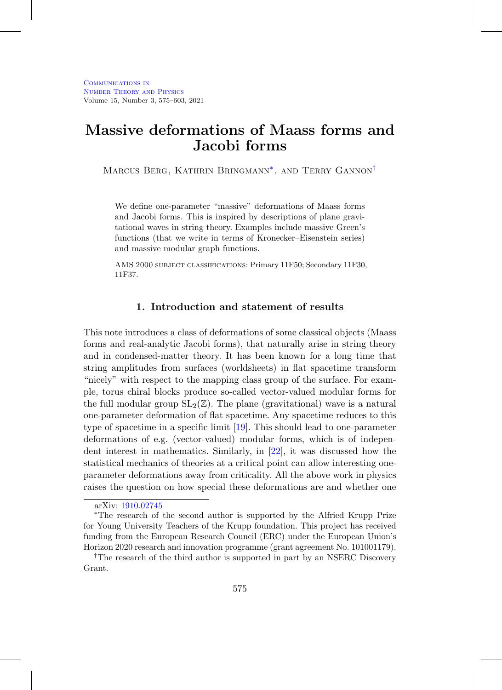# **Massive deformations of Maass forms and Jacobi forms**

MARCUS BERG, KATHRIN BRINGMANN<sup>\*</sup>, AND TERRY GANNON<sup>[†](#page-0-1)</sup>

We define one-parameter "massive" deformations of Maass forms and Jacobi forms. This is inspired by descriptions of plane gravitational waves in string theory. Examples include massive Green's functions (that we write in terms of Kronecker–Eisenstein series) and massive modular graph functions.

AMS 2000 subject classifications: Primary 11F50; Secondary 11F30, 11F37.

## **1. Introduction and statement of results**

This note introduces a class of deformations of some classical objects (Maass forms and real-analytic Jacobi forms), that naturally arise in string theory and in condensed-matter theory. It has been known for a long time that string amplitudes from surfaces (worldsheets) in flat spacetime transform "nicely" with respect to the mapping class group of the surface. For example, torus chiral blocks produce so-called vector-valued modular forms for the full modular group  $SL_2(\mathbb{Z})$ . The plane (gravitational) wave is a natural one-parameter deformation of flat spacetime. Any spacetime reduces to this type of spacetime in a specific limit [\[19](#page-27-0)]. This should lead to one-parameter deformations of e.g. (vector-valued) modular forms, which is of independent interest in mathematics. Similarly, in [\[22\]](#page-28-0), it was discussed how the statistical mechanics of theories at a critical point can allow interesting oneparameter deformations away from criticality. All the above work in physics raises the question on how special these deformations are and whether one

<span id="page-0-0"></span>arXiv: [1910.02745](http://arxiv.org/abs/1910.02745)

<sup>∗</sup>The research of the second author is supported by the Alfried Krupp Prize for Young University Teachers of the Krupp foundation. This project has received funding from the European Research Council (ERC) under the European Union's Horizon 2020 research and innovation programme (grant agreement No. 101001179).

<span id="page-0-1"></span><sup>&</sup>lt;sup>†</sup>The research of the third author is supported in part by an NSERC Discovery Grant.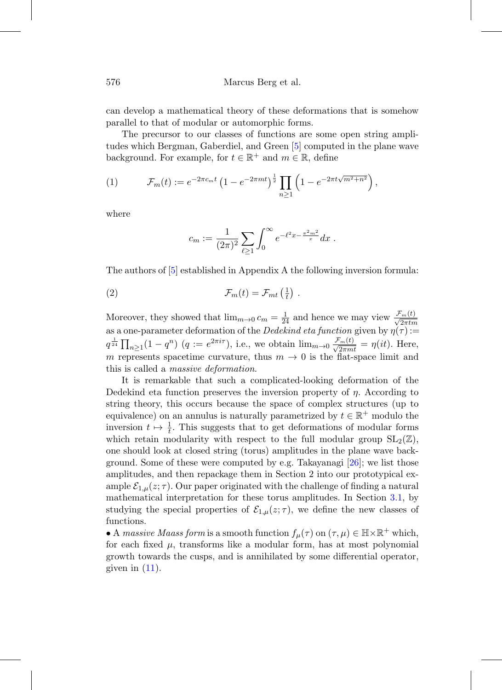can develop a mathematical theory of these deformations that is somehow parallel to that of modular or automorphic forms.

The precursor to our classes of functions are some open string amplitudes which Bergman, Gaberdiel, and Green [\[5\]](#page-26-0) computed in the plane wave background. For example, for  $t \in \mathbb{R}^+$  and  $m \in \mathbb{R}$ , define

<span id="page-1-0"></span>(1) 
$$
\mathcal{F}_m(t) := e^{-2\pi c_m t} \left(1 - e^{-2\pi mt}\right)^{\frac{1}{2}} \prod_{n \geq 1} \left(1 - e^{-2\pi t \sqrt{m^2 + n^2}}\right),
$$

where

<span id="page-1-1"></span>
$$
c_m := \frac{1}{(2\pi)^2} \sum_{\ell \ge 1} \int_0^\infty e^{-\ell^2 x - \frac{\pi^2 m^2}{x}} dx.
$$

The authors of [\[5](#page-26-0)] established in Appendix A the following inversion formula:

(2) 
$$
\mathcal{F}_m(t) = \mathcal{F}_{mt}\left(\frac{1}{t}\right).
$$

Moreover, they showed that  $\lim_{m\to 0} c_m = \frac{1}{24}$  and hence we may view  $\frac{\mathcal{F}_m(t)}{\sqrt{2\pi t m}}$ as a one-parameter deformation of the Dedekind eta function given by  $\eta(\tau) :=$  $q^{\frac{1}{24}}\prod_{n\geq 1}(1-q^n)$   $(q:=e^{2\pi i\tau})$ , i.e., we obtain  $\lim_{m\to 0}\frac{\mathcal{F}_m(t)}{\sqrt{2\pi mt}}=\eta(it)$ . Here, m represents spacetime curvature, thus  $m \to 0$  is the flat-space limit and this is called a massive deformation.

It is remarkable that such a complicated-looking deformation of the Dedekind eta function preserves the inversion property of  $\eta$ . According to string theory, this occurs because the space of complex structures (up to equivalence) on an annulus is naturally parametrized by  $t \in \mathbb{R}^+$  modulo the inversion  $t \mapsto \frac{1}{t}$ . This suggests that to get deformations of modular forms which retain modularity with respect to the full modular group  $SL_2(\mathbb{Z})$ , one should look at closed string (torus) amplitudes in the plane wave background. Some of these were computed by e.g. Takayanagi  $[26]$ ; we list those amplitudes, and then repackage them in Section 2 into our prototypical example  $\mathcal{E}_{1,\mu}(z;\tau)$ . Our paper originated with the challenge of finding a natural mathematical interpretation for these torus amplitudes. In Section [3.1,](#page-5-0) by studying the special properties of  $\mathcal{E}_{1,\mu}(z;\tau)$ , we define the new classes of functions.

• A massive Maass form is a smooth function  $f_{\mu}(\tau)$  on  $(\tau,\mu) \in \mathbb{H} \times \mathbb{R}^+$  which, for each fixed  $\mu$ , transforms like a modular form, has at most polynomial growth towards the cusps, and is annihilated by some differential operator, given in  $(11)$ .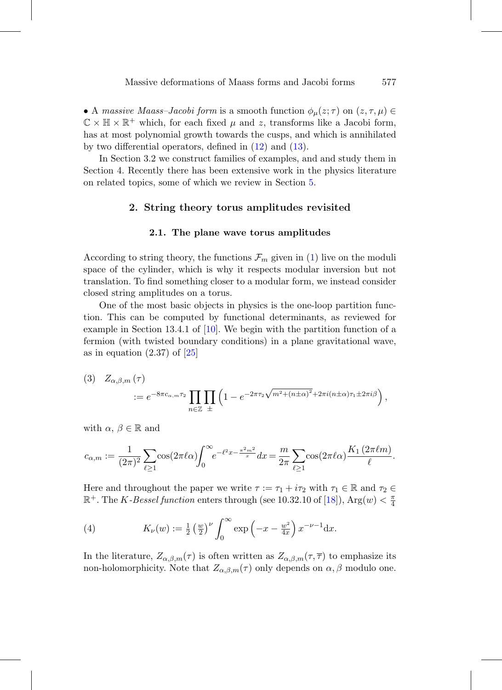• A massive Maass–Jacobi form is a smooth function  $\phi_{\mu}(z;\tau)$  on  $(z,\tau,\mu) \in$  $\mathbb{C} \times \mathbb{H} \times \mathbb{R}^+$  which, for each fixed  $\mu$  and z, transforms like a Jacobi form, has at most polynomial growth towards the cusps, and which is annihilated by two differential operators, defined in  $(12)$  and  $(13)$ .

In Section 3.2 we construct families of examples, and and study them in Section 4. Recently there has been extensive work in the physics literature on related topics, some of which we review in Section [5.](#page-17-0)

#### **2. String theory torus amplitudes revisited**

#### **2.1. The plane wave torus amplitudes**

According to string theory, the functions  $\mathcal{F}_m$  given in [\(1\)](#page-1-0) live on the moduli space of the cylinder, which is why it respects modular inversion but not translation. To find something closer to a modular form, we instead consider closed string amplitudes on a torus.

One of the most basic objects in physics is the one-loop partition function. This can be computed by functional determinants, as reviewed for example in Section 13.4.1 of [\[10](#page-27-1)]. We begin with the partition function of a fermion (with twisted boundary conditions) in a plane gravitational wave, as in equation  $(2.37)$  of  $[25]$  $[25]$ 

<span id="page-2-0"></span>(3) 
$$
Z_{\alpha,\beta,m}(\tau) = e^{-8\pi c_{\alpha,m}\tau_2} \prod_{n\in\mathbb{Z}} \prod_{\pm} \left(1 - e^{-2\pi\tau_2\sqrt{m^2 + (n\pm\alpha)^2} + 2\pi i(n\pm\alpha)\tau_1 \pm 2\pi i\beta}\right),
$$

with  $\alpha, \beta \in \mathbb{R}$  and

$$
c_{\alpha,m} := \frac{1}{(2\pi)^2} \sum_{\ell \ge 1} \cos(2\pi \ell \alpha) \int_0^{\infty} e^{-\ell^2 x - \frac{\pi^2 m^2}{x}} dx = \frac{m}{2\pi} \sum_{\ell \ge 1} \cos(2\pi \ell \alpha) \frac{K_1(2\pi \ell m)}{\ell}.
$$

Here and throughout the paper we write  $\tau := \tau_1 + i\tau_2$  with  $\tau_1 \in \mathbb{R}$  and  $\tau_2 \in$  $\mathbb{R}^+$ . The K-Bessel function enters through (see 10.32.10 of [\[18](#page-27-2)]),  $\text{Arg}(w) < \frac{\pi}{4}$ 

<span id="page-2-1"></span>(4) 
$$
K_{\nu}(w) := \frac{1}{2} \left(\frac{w}{2}\right)^{\nu} \int_0^{\infty} \exp\left(-x - \frac{w^2}{4x}\right) x^{-\nu - 1} dx.
$$

In the literature,  $Z_{\alpha,\beta,m}(\tau)$  is often written as  $Z_{\alpha,\beta,m}(\tau,\overline{\tau})$  to emphasize its non-holomorphicity. Note that  $Z_{\alpha,\beta,m}(\tau)$  only depends on  $\alpha,\beta$  modulo one.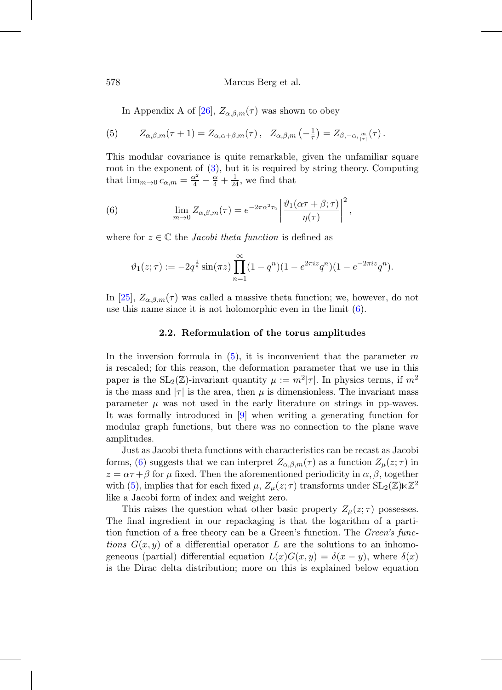<span id="page-3-1"></span>In Appendix A of [\[26](#page-28-1)],  $Z_{\alpha,\beta,m}(\tau)$  was shown to obey

(5) 
$$
Z_{\alpha,\beta,m}(\tau+1) = Z_{\alpha,\alpha+\beta,m}(\tau), \quad Z_{\alpha,\beta,m}\left(-\frac{1}{\tau}\right) = Z_{\beta,-\alpha,\frac{m}{|\tau|}}(\tau).
$$

This modular covariance is quite remarkable, given the unfamiliar square root in the exponent of [\(3\)](#page-2-0), but it is required by string theory. Computing that  $\lim_{m\to 0} c_{\alpha,m} = \frac{\alpha^2}{4} - \frac{\alpha}{4} + \frac{1}{24}$ , we find that

<span id="page-3-0"></span>(6) 
$$
\lim_{m \to 0} Z_{\alpha,\beta,m}(\tau) = e^{-2\pi \alpha^2 \tau_2} \left| \frac{\vartheta_1(\alpha \tau + \beta; \tau)}{\eta(\tau)} \right|^2,
$$

where for  $z \in \mathbb{C}$  the *Jacobi theta function* is defined as

$$
\vartheta_1(z;\tau) := -2q^{\frac{1}{8}}\sin(\pi z) \prod_{n=1}^{\infty} (1-q^n)(1-e^{2\pi i z}q^n)(1-e^{-2\pi i z}q^n).
$$

In [\[25](#page-28-2)],  $Z_{\alpha,\beta,m}(\tau)$  was called a massive theta function; we, however, do not use this name since it is not holomorphic even in the limit [\(6\)](#page-3-0).

#### **2.2. Reformulation of the torus amplitudes**

In the inversion formula in  $(5)$ , it is inconvenient that the parameter m is rescaled; for this reason, the deformation parameter that we use in this paper is the  $SL_2(\mathbb{Z})$ -invariant quantity  $\mu := m^2|\tau|$ . In physics terms, if  $m^2$ is the mass and  $|\tau|$  is the area, then  $\mu$  is dimensionless. The invariant mass parameter  $\mu$  was not used in the early literature on strings in pp-waves. It was formally introduced in [\[9\]](#page-27-3) when writing a generating function for modular graph functions, but there was no connection to the plane wave amplitudes.

Just as Jacobi theta functions with characteristics can be recast as Jacobi forms, [\(6\)](#page-3-0) suggests that we can interpret  $Z_{\alpha,\beta,m}(\tau)$  as a function  $Z_{\mu}(z;\tau)$  in  $z = \alpha \tau + \beta$  for  $\mu$  fixed. Then the aforementioned periodicity in  $\alpha, \beta$ , together with [\(5\)](#page-3-1), implies that for each fixed  $\mu$ ,  $Z_{\mu}(z;\tau)$  transforms under  $SL_2(\mathbb{Z})\ltimes\mathbb{Z}^2$ like a Jacobi form of index and weight zero.

This raises the question what other basic property  $Z_{\mu}(z;\tau)$  possesses. The final ingredient in our repackaging is that the logarithm of a partition function of a free theory can be a Green's function. The *Green's func*tions  $G(x, y)$  of a differential operator L are the solutions to an inhomogeneous (partial) differential equation  $L(x)G(x, y) = \delta(x - y)$ , where  $\delta(x)$ is the Dirac delta distribution; more on this is explained below equation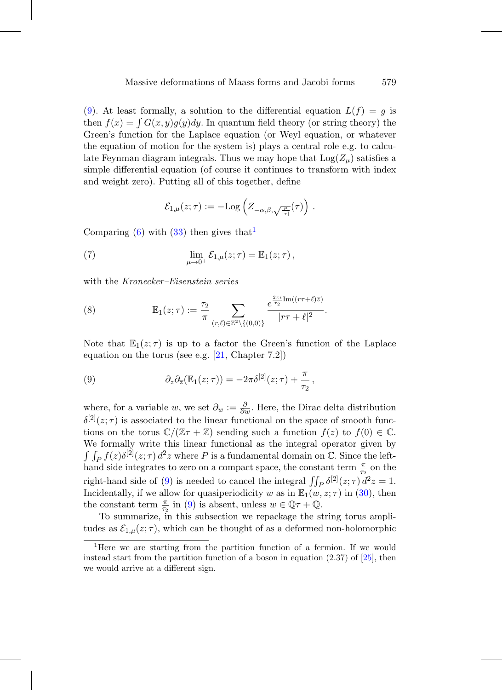[\(9\)](#page-4-0). At least formally, a solution to the differential equation  $L(f) = g$  is then  $f(x) = \int G(x, y)q(y)dy$ . In quantum field theory (or string theory) the Green's function for the Laplace equation (or Weyl equation, or whatever the equation of motion for the system is) plays a central role e.g. to calculate Feynman diagram integrals. Thus we may hope that  $Log(Z_\mu)$  satisfies a simple differential equation (of course it continues to transform with index and weight zero). Putting all of this together, define

<span id="page-4-3"></span>
$$
\mathcal{E}_{1,\mu}(z;\tau):=-\mathrm{Log}\left(Z_{-\alpha,\beta,\sqrt{\frac{\mu}{|\tau|}}}(\tau)\right)\,.
$$

Comparing [\(6\)](#page-3-0) with [\(33\)](#page-24-0) then gives that

(7) 
$$
\lim_{\mu \to 0^+} \mathcal{E}_{1,\mu}(z;\tau) = \mathbb{E}_1(z;\tau),
$$

with the *Kronecker–Eisenstein series* 

<span id="page-4-2"></span>(8) 
$$
\mathbb{E}_1(z;\tau) := \frac{\tau_2}{\pi} \sum_{(r,\ell) \in \mathbb{Z}^2 \setminus \{(0,0)\}} \frac{e^{\frac{2\pi i}{\tau_2} \text{Im}((r\tau+\ell)\overline{z})}}{|r\tau+\ell|^2}.
$$

Note that  $\mathbb{E}_1(z;\tau)$  is up to a factor the Green's function of the Laplace equation on the torus (see e.g.  $[21, Chapter 7.2]$  $[21, Chapter 7.2]$ )

<span id="page-4-0"></span>(9) 
$$
\partial_z \partial_{\overline{z}} (\mathbb{E}_1(z;\tau)) = -2\pi \delta^{[2]}(z;\tau) + \frac{\pi}{\tau_2},
$$

where, for a variable w, we set  $\partial_w := \frac{\partial}{\partial w}$ . Here, the Dirac delta distribution  $\delta^{[2]}(z;\tau)$  is associated to the linear functional on the space of smooth functions on the torus  $\mathbb{C}/(\mathbb{Z}\tau+\mathbb{Z})$  sending such a function  $f(z)$  to  $f(0) \in \mathbb{C}$ . We formally write this linear functional as the integral operator given by  $\int \int_P f(z) \delta^{[2]}(z;\tau) d^2z$  where P is a fundamental domain on C. Since the lefthand side integrates to zero on a compact space, the constant term  $\frac{\pi}{\tau_2}$  on the right-hand side of [\(9\)](#page-4-0) is needed to cancel the integral  $\iint_P \delta^{[2]}(z;\tau) d^2z = 1$ . Incidentally, if we allow for quasiperiodicity w as in  $\mathbb{E}_1(w, z; \tau)$  in [\(30\)](#page-23-0), then the constant term  $\frac{\pi}{\tau_2}$  in [\(9\)](#page-4-0) is absent, unless  $w \in \mathbb{Q}\tau + \mathbb{Q}$ .

To summarize, in this subsection we repackage the string torus amplitudes as  $\mathcal{E}_{1,\mu}(z;\tau)$ , which can be thought of as a deformed non-holomorphic

<span id="page-4-1"></span><sup>&</sup>lt;sup>1</sup>Here we are starting from the partition function of a fermion. If we would instead start from the partition function of a boson in equation  $(2.37)$  of  $[25]$  $[25]$ , then we would arrive at a different sign.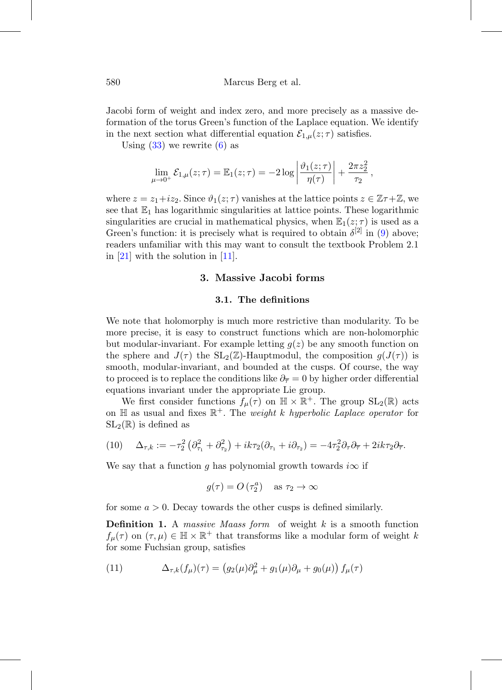Jacobi form of weight and index zero, and more precisely as a massive deformation of the torus Green's function of the Laplace equation. We identify in the next section what differential equation  $\mathcal{E}_{1,\mu}(z;\tau)$  satisfies.

Using  $(33)$  we rewrite  $(6)$  as

$$
\lim_{\mu\to 0^+} \mathcal{E}_{1,\mu}(z;\tau) = \mathbb{E}_1(z;\tau) = -2\log\left|\frac{\vartheta_1(z;\tau)}{\eta(\tau)}\right| + \frac{2\pi z_2^2}{\tau_2},
$$

where  $z = z_1 + iz_2$ . Since  $\vartheta_1(z;\tau)$  vanishes at the lattice points  $z \in \mathbb{Z}\tau + \mathbb{Z}$ , we see that  $\mathbb{E}_1$  has logarithmic singularities at lattice points. These logarithmic singularities are crucial in mathematical physics, when  $\mathbb{E}_1(z;\tau)$  is used as a Green's function: it is precisely what is required to obtain  $\delta^{[2]}$  in [\(9\)](#page-4-0) above; readers unfamiliar with this may want to consult the textbook Problem 2.1 in [\[21](#page-28-3)] with the solution in [\[11\]](#page-27-4).

### **3. Massive Jacobi forms**

#### **3.1. The definitions**

<span id="page-5-0"></span>We note that holomorphy is much more restrictive than modularity. To be more precise, it is easy to construct functions which are non-holomorphic but modular-invariant. For example letting  $q(z)$  be any smooth function on the sphere and  $J(\tau)$  the SL<sub>2</sub>(Z)-Hauptmodul, the composition  $q(J(\tau))$  is smooth, modular-invariant, and bounded at the cusps. Of course, the way to proceed is to replace the conditions like  $\partial_{\overline{\tau}} = 0$  by higher order differential equations invariant under the appropriate Lie group.

We first consider functions  $f_{\mu}(\tau)$  on  $\mathbb{H} \times \mathbb{R}^+$ . The group  $SL_2(\mathbb{R})$  acts on  $\mathbb H$  as usual and fixes  $\mathbb R^+$ . The *weight k hyperbolic Laplace operator* for  $SL_2(\mathbb{R})$  is defined as

(10) 
$$
\Delta_{\tau,k} := -\tau_2^2 \left( \partial_{\tau_1}^2 + \partial_{\tau_2}^2 \right) + ik\tau_2 (\partial_{\tau_1} + i\partial_{\tau_2}) = -4\tau_2^2 \partial_{\tau} \partial_{\overline{\tau}} + 2ik\tau_2 \partial_{\overline{\tau}}.
$$

We say that a function q has polynomial growth towards  $i\infty$  if

$$
g(\tau) = O\left(\tau_2^a\right) \quad \text{as } \tau_2 \to \infty
$$

for some  $a > 0$ . Decay towards the other cusps is defined similarly.

**Definition 1.** A massive Maass form of weight k is a smooth function  $f_{\mu}(\tau)$  on  $(\tau,\mu) \in \mathbb{H} \times \mathbb{R}^+$  that transforms like a modular form of weight k for some Fuchsian group, satisfies

<span id="page-5-1"></span>(11) 
$$
\Delta_{\tau,k}(f_{\mu})(\tau) = (g_2(\mu)\partial_{\mu}^2 + g_1(\mu)\partial_{\mu} + g_0(\mu)) f_{\mu}(\tau)
$$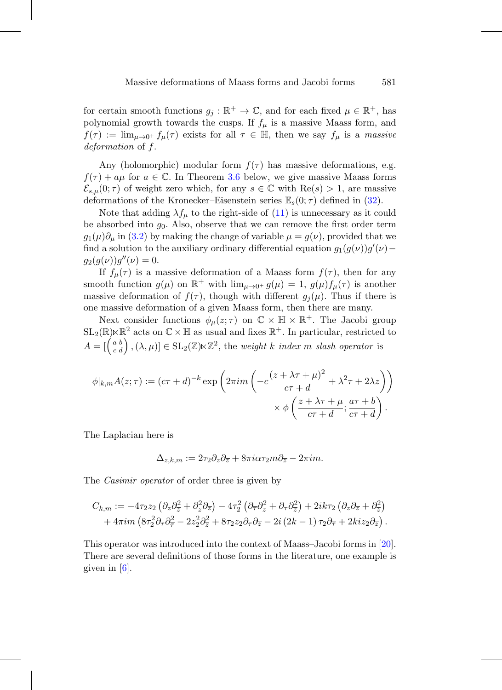for certain smooth functions  $g_j : \mathbb{R}^+ \to \mathbb{C}$ , and for each fixed  $\mu \in \mathbb{R}^+$ , has polynomial growth towards the cusps. If  $f_{\mu}$  is a massive Maass form, and  $f(\tau) := \lim_{\mu \to 0^+} f_{\mu}(\tau)$  exists for all  $\tau \in \mathbb{H}$ , then we say  $f_{\mu}$  is a massive deformation of f.

Any (holomorphic) modular form  $f(\tau)$  has massive deformations, e.g.  $f(\tau) + a\mu$  for  $a \in \mathbb{C}$ . In Theorem [3.6](#page-11-0) below, we give massive Maass forms  $\mathcal{E}_{s,\mu}(0;\tau)$  of weight zero which, for any  $s \in \mathbb{C}$  with  $\text{Re}(s) > 1$ , are massive deformations of the Kronecker–Eisenstein series  $\mathbb{E}_{s}(0;\tau)$  defined in [\(32\)](#page-24-1).

Note that adding  $\lambda f_\mu$  to the right-side of [\(11\)](#page-5-1) is unnecessary as it could be absorbed into  $g_0$ . Also, observe that we can remove the first order term  $g_1(\mu)\partial_\mu$  in [\(3.2\)](#page-8-0) by making the change of variable  $\mu = g(\nu)$ , provided that we find a solution to the auxiliary ordinary differential equation  $g_1(g(\nu))g'(\nu)$  –  $g_2(g(\nu))g''(\nu) = 0.$ 

If  $f_{\mu}(\tau)$  is a massive deformation of a Maass form  $f(\tau)$ , then for any smooth function  $g(\mu)$  on  $\mathbb{R}^+$  with  $\lim_{\mu\to 0^+} g(\mu) = 1$ ,  $g(\mu) f_{\mu}(\tau)$  is another massive deformation of  $f(\tau)$ , though with different  $g_i(\mu)$ . Thus if there is one massive deformation of a given Maass form, then there are many.

Next consider functions  $\phi_{\mu}(z;\tau)$  on  $\mathbb{C} \times \mathbb{H} \times \mathbb{R}^+$ . The Jacobi group  $\mathrm{SL}_2(\mathbb{R})\ltimes\mathbb{R}^2$  acts on  $\mathbb{C}\times\mathbb{H}$  as usual and fixes  $\mathbb{R}^+ .$  In particular, restricted to  $A = \begin{bmatrix} a \\ c \end{bmatrix}$ b  $\left( \begin{array}{c} b \\ d \end{array} \right)$ ,  $(\lambda, \mu)$ ]  $\in$  SL<sub>2</sub>( $\mathbb{Z})\ltimes\mathbb{Z}^2$ , the *weight k index m slash operator* is

$$
\phi|_{k,m} A(z;\tau) := (c\tau + d)^{-k} \exp\left(2\pi i m \left(-c\frac{(z + \lambda \tau + \mu)^2}{c\tau + d} + \lambda^2 \tau + 2\lambda z\right)\right)
$$

$$
\times \phi\left(\frac{z + \lambda \tau + \mu}{c\tau + d}; \frac{a\tau + b}{c\tau + d}\right).
$$

The Laplacian here is

$$
\Delta_{z,k,m} := 2\tau_2 \partial_z \partial_{\overline{z}} + 8\pi i \alpha \tau_2 m \partial_{\overline{z}} - 2\pi i m.
$$

The *Casimir operator* of order three is given by

$$
C_{k,m} := -4\tau_2 z_2 \left(\partial_z \partial_{\overline{z}}^2 + \partial_z^2 \partial_{\overline{z}}\right) - 4\tau_2^2 \left(\partial_{\overline{\tau}} \partial_z^2 + \partial_{\tau} \partial_{\overline{z}}^2\right) + 2ik\tau_2 \left(\partial_z \partial_{\overline{z}} + \partial_{\overline{z}}^2\right) + 4\pi im \left(8\tau_2^2 \partial_{\tau} \partial_{\overline{\tau}}^2 - 2z_2^2 \partial_{\overline{z}}^2 + 8\tau_2 z_2 \partial_{\tau} \partial_{\overline{z}} - 2i \left(2k - 1\right) \tau_2 \partial_{\overline{\tau}} + 2kiz_2 \partial_{\overline{z}}\right).
$$

This operator was introduced into the context of Maass–Jacobi forms in [\[20](#page-27-5)]. There are several definitions of those forms in the literature, one example is given in  $[6]$ .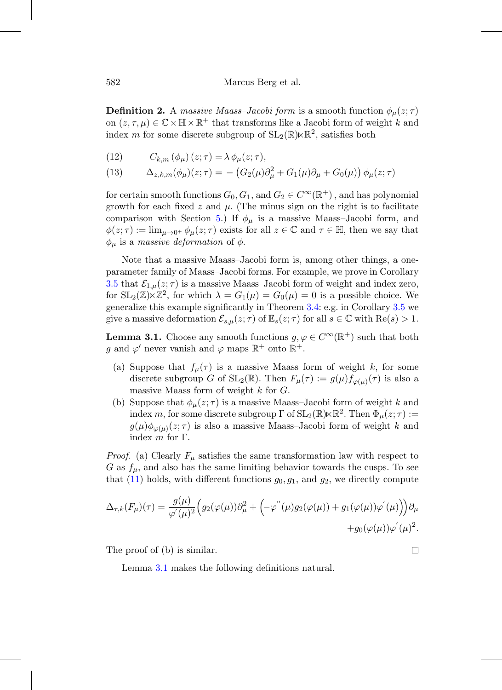<span id="page-7-3"></span>**Definition 2.** A massive Maass-Jacobi form is a smooth function  $\phi_{\mu}(z;\tau)$ on  $(z, \tau, \mu) \in \mathbb{C} \times \mathbb{H} \times \mathbb{R}^+$  that transforms like a Jacobi form of weight k and index m for some discrete subgroup of  $SL_2(\mathbb{R}) \ltimes \mathbb{R}^2$ , satisfies both

<span id="page-7-0"></span>(12) 
$$
C_{k,m}(\phi_{\mu})(z;\tau) = \lambda \phi_{\mu}(z;\tau),
$$

<span id="page-7-1"></span>(13) 
$$
\Delta_{z,k,m}(\phi_{\mu})(z;\tau) = - (G_2(\mu)\partial_{\mu}^2 + G_1(\mu)\partial_{\mu} + G_0(\mu)) \phi_{\mu}(z;\tau)
$$

for certain smooth functions  $G_0, G_1$ , and  $G_2 \in C^{\infty}(\mathbb{R}^+)$ , and has polynomial growth for each fixed z and  $\mu$ . (The minus sign on the right is to facilitate comparison with Section [5.](#page-17-0)) If  $\phi_{\mu}$  is a massive Maass–Jacobi form, and  $\phi(z;\tau) := \lim_{\mu \to 0^+} \phi_{\mu}(z;\tau)$  exists for all  $z \in \mathbb{C}$  and  $\tau \in \mathbb{H}$ , then we say that  $\phi_{\mu}$  is a massive deformation of  $\phi$ .

Note that a massive Maass–Jacobi form is, among other things, a oneparameter family of Maass–Jacobi forms. For example, we prove in Corollary [3.5](#page-11-1) that  $\mathcal{E}_{1,\mu}(z;\tau)$  is a massive Maass–Jacobi form of weight and index zero, for  $SL_2(\mathbb{Z})\times\mathbb{Z}^2$ , for which  $\lambda = G_1(\mu) = G_0(\mu) = 0$  is a possible choice. We generalize this example significantly in Theorem [3.4:](#page-9-0) e.g. in Corollary [3.5](#page-11-1) we give a massive deformation  $\mathcal{E}_{s,\mu}(z;\tau)$  of  $\mathbb{E}_{s}(z;\tau)$  for all  $s \in \mathbb{C}$  with  $\text{Re}(s) > 1$ .

<span id="page-7-2"></span>**Lemma 3.1.** Choose any smooth functions  $g, \varphi \in C^{\infty}(\mathbb{R}^+)$  such that both q and  $\varphi'$  never vanish and  $\varphi$  maps  $\mathbb{R}^+$  onto  $\mathbb{R}^+$ .

- (a) Suppose that  $f_{\mu}(\tau)$  is a massive Maass form of weight k, for some discrete subgroup G of  $SL_2(\mathbb{R})$ . Then  $F_{\mu}(\tau) := g(\mu) f_{\varphi(\mu)}(\tau)$  is also a massive Maass form of weight  $k$  for  $G$ .
- (b) Suppose that  $\phi_{\mu}(z;\tau)$  is a massive Maass-Jacobi form of weight k and index m, for some discrete subgroup  $\Gamma$  of  $SL_2(\mathbb{R})\ltimes \mathbb{R}^2$ . Then  $\Phi_\mu(z;\tau) :=$  $g(\mu)\phi_{\varphi(\mu)}(z;\tau)$  is also a massive Maass-Jacobi form of weight k and index  $m$  for Γ.

*Proof.* (a) Clearly  $F_{\mu}$  satisfies the same transformation law with respect to G as  $f_{\mu}$ , and also has the same limiting behavior towards the cusps. To see that  $(11)$  holds, with different functions  $g_0, g_1$ , and  $g_2$ , we directly compute

$$
\Delta_{\tau,k}(F_{\mu})(\tau) = \frac{g(\mu)}{\varphi'(\mu)^2} \Big(g_2(\varphi(\mu))\partial_{\mu}^2 + \Big(-\varphi^{''}(\mu)g_2(\varphi(\mu)) + g_1(\varphi(\mu))\varphi^{'}(\mu)\Big)\Big)\partial_{\mu} + g_0(\varphi(\mu))\varphi^{'}(\mu)^2.
$$

The proof of (b) is similar.

Lemma [3.1](#page-7-2) makes the following definitions natural.

 $\Box$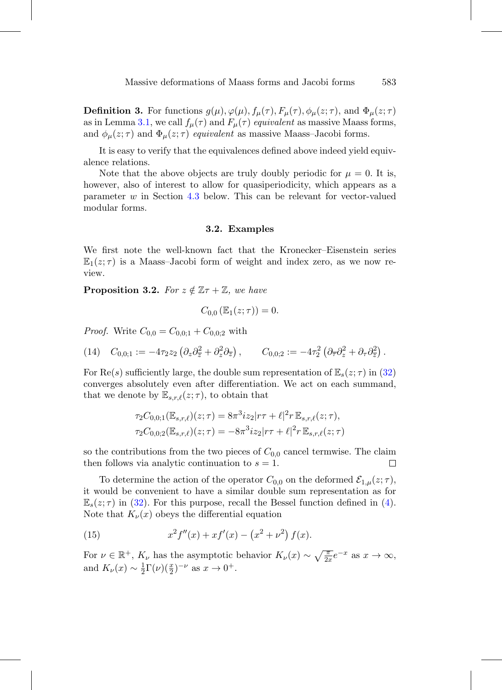<span id="page-8-3"></span>**Definition 3.** For functions  $g(\mu)$ ,  $\varphi(\mu)$ ,  $f_{\mu}(\tau)$ ,  $F_{\mu}(\tau)$ ,  $\phi_{\mu}(z;\tau)$ , and  $\Phi_{\mu}(z;\tau)$ as in Lemma [3.1,](#page-7-2) we call  $f_{\mu}(\tau)$  and  $F_{\mu}(\tau)$  equivalent as massive Maass forms, and  $\phi_{\mu}(z;\tau)$  and  $\Phi_{\mu}(z;\tau)$  equivalent as massive Maass-Jacobi forms.

It is easy to verify that the equivalences defined above indeed yield equivalence relations.

Note that the above objects are truly doubly periodic for  $\mu = 0$ . It is, however, also of interest to allow for quasiperiodicity, which appears as a parameter w in Section [4.3](#page-15-0) below. This can be relevant for vector-valued modular forms.

#### **3.2. Examples**

<span id="page-8-0"></span>We first note the well-known fact that the Kronecker–Eisenstein series  $\mathbb{E}_1(z;\tau)$  is a Maass-Jacobi form of weight and index zero, as we now review.

**Proposition 3.2.** For  $z \notin \mathbb{Z} + \mathbb{Z}$ , we have

$$
C_{0,0}\left(\mathbb{E}_1(z;\tau)\right)=0.
$$

*Proof.* Write  $C_{0,0} = C_{0,0;1} + C_{0,0;2}$  with

<span id="page-8-1"></span>
$$
(14) \quad C_{0,0;1} := -4\tau_2 z_2 \left(\partial_z \partial_{\overline{z}}^2 + \partial_z^2 \partial_{\overline{z}}\right), \qquad C_{0,0;2} := -4\tau_2^2 \left(\partial_{\overline{\tau}} \partial_z^2 + \partial_{\tau} \partial_{\overline{z}}^2\right).
$$

For Re(s) sufficiently large, the double sum representation of  $\mathbb{E}_s(z;\tau)$  in [\(32\)](#page-24-1) converges absolutely even after differentiation. We act on each summand, that we denote by  $\mathbb{E}_{s,r,\ell}(z;\tau)$ , to obtain that

$$
\tau_2 C_{0,0;1}(\mathbb{E}_{s,r,\ell})(z;\tau) = 8\pi^3 i z_2 |r\tau + \ell|^2 r \mathbb{E}_{s,r,\ell}(z;\tau),
$$
  

$$
\tau_2 C_{0,0;2}(\mathbb{E}_{s,r,\ell})(z;\tau) = -8\pi^3 i z_2 |r\tau + \ell|^2 r \mathbb{E}_{s,r,\ell}(z;\tau)
$$

so the contributions from the two pieces of  $C_{0,0}$  cancel termwise. The claim then follows via analytic continuation to  $s = 1$ . □

To determine the action of the operator  $C_{0,0}$  on the deformed  $\mathcal{E}_{1,\mu}(z;\tau)$ , it would be convenient to have a similar double sum representation as for  $\mathbb{E}_{s}(z;\tau)$  in [\(32\)](#page-24-1). For this purpose, recall the Bessel function defined in [\(4\)](#page-2-1). Note that  $K_{\nu}(x)$  obeys the differential equation

<span id="page-8-2"></span>(15) 
$$
x^2 f''(x) + x f'(x) - (x^2 + \nu^2) f(x).
$$

For  $\nu \in \mathbb{R}^+$ ,  $K_{\nu}$  has the asymptotic behavior  $K_{\nu}(x) \sim \sqrt{\frac{\pi}{2x}}e^{-x}$  as  $x \to \infty$ , and  $K_{\nu}(x) \sim \frac{1}{2} \Gamma(\nu) (\frac{x}{2})^{-\nu}$  as  $x \to 0^{+}$ .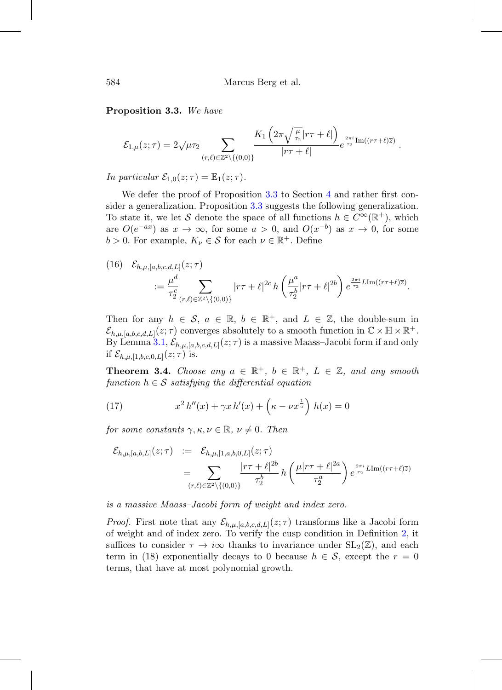<span id="page-9-1"></span>**Proposition 3.3.** We have

$$
\mathcal{E}_{1,\mu}(z;\tau) = 2\sqrt{\mu\tau_2} \sum_{(r,\ell)\in\mathbb{Z}^2\backslash\{(0,0)\}} \frac{K_1\left(2\pi\sqrt{\frac{\mu}{\tau_2}}|r\tau+\ell|\right)}{|r\tau+\ell|} e^{\frac{2\pi i}{\tau_2}\mathrm{Im}((r\tau+\ell)\overline{z})}.
$$

In particular  $\mathcal{E}_{1,0}(z;\tau) = \mathbb{E}_1(z;\tau)$ .

We defer the proof of Proposition [3.3](#page-9-1) to Section [4](#page-12-0) and rather first consider a generalization. Proposition [3.3](#page-9-1) suggests the following generalization. To state it, we let S denote the space of all functions  $h \in C^{\infty}(\mathbb{R}^+)$ , which are  $O(e^{-ax})$  as  $x \to \infty$ , for some  $a > 0$ , and  $O(x^{-b})$  as  $x \to 0$ , for some  $b > 0$ . For example,  $K_{\nu} \in \mathcal{S}$  for each  $\nu \in \mathbb{R}^+$ . Define

(16) 
$$
\mathcal{E}_{h,\mu,[a,b,c,d,L]}(z;\tau) = \frac{\mu^d}{\tau_2^c} \sum_{(r,\ell) \in \mathbb{Z}^2 \setminus \{(0,0)\}} |r\tau + \ell|^{2c} h\left(\frac{\mu^a}{\tau_2^b}|r\tau + \ell|^{2b}\right) e^{\frac{2\pi i}{\tau_2} L \text{Im}((r\tau + \ell)\overline{z})}.
$$

Then for any  $h \in \mathcal{S}$ ,  $a \in \mathbb{R}$ ,  $b \in \mathbb{R}^+$ , and  $L \in \mathbb{Z}$ , the double-sum in  $\mathcal{E}_{h,\mu,[a,b,c,d,L]}(z;\tau)$  converges absolutely to a smooth function in  $\mathbb{C}\times\mathbb{H}\times\mathbb{R}^+$ . By Lemma [3.1,](#page-7-2)  $\mathcal{E}_{h,\mu,[a,b,c,d,L]}(z;\tau)$  is a massive Maass–Jacobi form if and only if  $\mathcal{E}_{h,\mu,[1,b,c,0,L]}(z;\tau)$  is.

<span id="page-9-0"></span>**Theorem 3.4.** Choose any  $a \in \mathbb{R}^+$ ,  $b \in \mathbb{R}^+$ ,  $L \in \mathbb{Z}$ , and any smooth function  $h \in \mathcal{S}$  satisfying the differential equation

<span id="page-9-2"></span>(17) 
$$
x^{2} h''(x) + \gamma x h'(x) + \left(\kappa - \nu x^{\frac{1}{a}}\right) h(x) = 0
$$

for some constants  $\gamma, \kappa, \nu \in \mathbb{R}, \nu \neq 0$ . Then

$$
\mathcal{E}_{h,\mu,[a,b,L]}(z;\tau) := \mathcal{E}_{h,\mu,[1,a,b,0,L]}(z;\tau) \n= \sum_{(r,\ell) \in \mathbb{Z}^2 \setminus \{(0,0)\}} \frac{|r\tau + \ell|^{2b}}{\tau_2^b} h\left(\frac{\mu|r\tau + \ell|^{2a}}{\tau_2^a}\right) e^{\frac{2\pi i}{\tau_2} L \text{Im}((r\tau + \ell)\overline{z})}
$$

is a massive Maass–Jacobi form of weight and index zero.

*Proof.* First note that any  $\mathcal{E}_{h,\mu,[a,b,c,d,L]}(z;\tau)$  transforms like a Jacobi form of weight and of index zero. To verify the cusp condition in Definition [2,](#page-7-3) it suffices to consider  $\tau \to i\infty$  thanks to invariance under  $SL_2(\mathbb{Z})$ , and each term in (18) exponentially decays to 0 because  $h \in \mathcal{S}$ , except the  $r = 0$ terms, that have at most polynomial growth.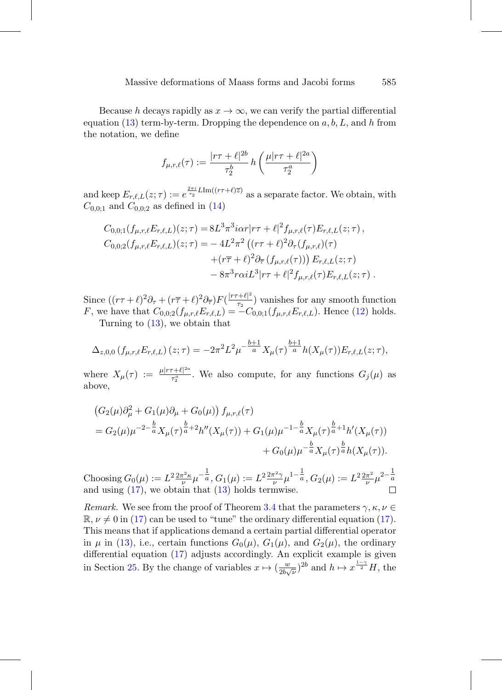Because h decays rapidly as  $x \to \infty$ , we can verify the partial differential equation [\(13\)](#page-7-1) term-by-term. Dropping the dependence on  $a, b, L$ , and h from the notation, we define

$$
f_{\mu,r,\ell}(\tau) := \frac{|r\tau + \ell|^{2b}}{\tau_2^b} h\left(\frac{\mu|r\tau + \ell|^{2a}}{\tau_2^a}\right)
$$

and keep  $E_{r,\ell,L}(z;\tau) := e^{\frac{2\pi i}{\tau_2}L\text{Im}((r\tau+\ell)\overline{z})}$  as a separate factor. We obtain, with  $C_{0,0;1}$  and  $C_{0,0;2}$  as defined in [\(14\)](#page-8-1)

$$
C_{0,0;1}(f_{\mu,r,\ell}E_{r,\ell,L})(z;\tau) = 8L^3\pi^3 i\alpha r|r\tau + \ell|^2 f_{\mu,r,\ell}(\tau)E_{r,\ell,L}(z;\tau),
$$
  
\n
$$
C_{0,0;2}(f_{\mu,r,\ell}E_{r,\ell,L})(z;\tau) = -4L^2\pi^2 ((r\tau + \ell)^2 \partial_\tau (f_{\mu,r,\ell})(\tau) + (r\overline{\tau} + \ell)^2 \partial_{\overline{\tau}} (f_{\mu,r,\ell}(\tau))) E_{r,\ell,L}(z;\tau) - 8\pi^3 r\alpha i L^3|r\tau + \ell|^2 f_{\mu,r,\ell}(\tau)E_{r,\ell,L}(z;\tau).
$$

Since  $((r\tau + \ell)^2 \partial_{\tau} + (r\overline{\tau} + \ell)^2 \partial_{\overline{\tau}}) F(\frac{|r\tau + \ell|^2}{\tau_2})$  vanishes for any smooth function F, we have that  $C_{0,0;2}(f_{\mu,r,\ell}E_{r,\ell,L}) = -C_{0,0;1}(f_{\mu,r,\ell}E_{r,\ell,L})$ . Hence [\(12\)](#page-7-0) holds.

Turning to [\(13\)](#page-7-1), we obtain that

$$
\Delta_{z,0,0} \left( f_{\mu,r,\ell} E_{r,\ell,L} \right) (z;\tau) = -2\pi^2 L^2 \mu^{-\frac{b+1}{a}} X_{\mu}(\tau)^{\frac{b+1}{a}} h(X_{\mu}(\tau)) E_{r,\ell,L}(z;\tau),
$$

where  $X_{\mu}(\tau) := \frac{\mu |r\tau + \ell|^{2a}}{\tau_{\alpha}^{a}}$  $\frac{\tau_1 + \mu_1 - \tau_2}{\tau_2}$ . We also compute, for any functions  $G_j(\mu)$  as above,

$$
(G_2(\mu)\partial_{\mu}^2 + G_1(\mu)\partial_{\mu} + G_0(\mu)) f_{\mu,r,\ell}(\tau)
$$
  
=  $G_2(\mu)\mu^{-2-\frac{b}{a}}X_{\mu}(\tau)^{\frac{b}{a}+2}h''(X_{\mu}(\tau)) + G_1(\mu)\mu^{-1-\frac{b}{a}}X_{\mu}(\tau)^{\frac{b}{a}+1}h'(X_{\mu}(\tau))$   
+  $G_0(\mu)\mu^{-\frac{b}{a}}X_{\mu}(\tau)^{\frac{b}{a}}h(X_{\mu}(\tau)).$ 

Choosing  $G_0(\mu) := L^2 \frac{2\pi^2 \kappa}{\nu} \mu^{-\frac{1}{a}}, G_1(\mu) := L^2 \frac{2\pi^2 \gamma}{\nu} \mu^{1-\frac{1}{a}}, G_2(\mu) := L^2 \frac{2\pi^2}{\nu} \mu^{2-\frac{1}{a}}$ and using  $(17)$ , we obtain that  $(13)$  holds termwise.

Remark. We see from the proof of Theorem [3.4](#page-9-0) that the parameters  $\gamma, \kappa, \nu \in$  $\mathbb{R}, \nu \neq 0$  in [\(17\)](#page-9-2) can be used to "tune" the ordinary differential equation (17). This means that if applications demand a certain partial differential operator in  $\mu$  in [\(13\)](#page-7-1), i.e., certain functions  $G_0(\mu)$ ,  $G_1(\mu)$ , and  $G_2(\mu)$ , the ordinary differential equation [\(17\)](#page-9-2) adjusts accordingly. An explicit example is given in Section [25.](#page-18-0) By the change of variables  $x \mapsto (\frac{w}{2b\sqrt{\nu}})^{2b}$  and  $h \mapsto x^{\frac{1-\gamma}{2}}H$ , the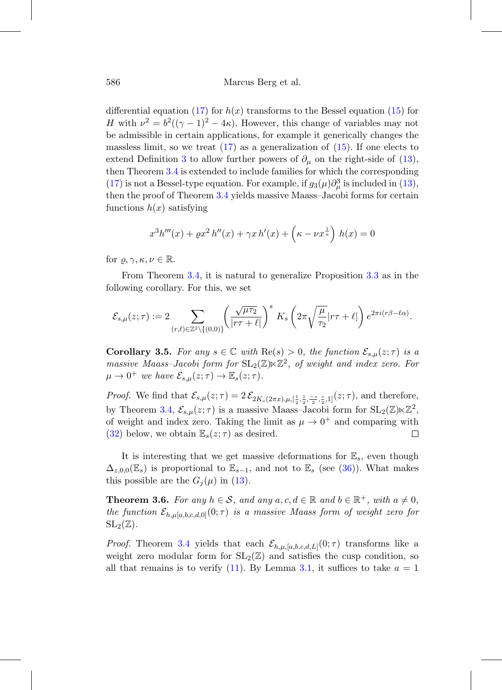#### 586 Marcus Berg et al.

differential equation [\(17\)](#page-9-2) for  $h(x)$  transforms to the Bessel equation [\(15\)](#page-8-2) for H with  $\nu^2 = b^2((\gamma - 1)^2 - 4\kappa)$ . However, this change of variables may not be admissible in certain applications, for example it generically changes the massless limit, so we treat  $(17)$  as a generalization of  $(15)$ . If one elects to extend Definition [3](#page-8-3) to allow further powers of  $\partial_{\mu}$  on the right-side of [\(13\)](#page-7-1), then Theorem [3.4](#page-9-0) is extended to include families for which the corresponding [\(17\)](#page-9-2) is not a Bessel-type equation. For example, if  $g_3(\mu)\partial_\mu^3$  is included in [\(13\)](#page-7-1), then the proof of Theorem [3.4](#page-9-0) yields massive Maass–Jacobi forms for certain functions  $h(x)$  satisfying

$$
x^{3}h'''(x) + \varrho x^{2} h''(x) + \gamma x h'(x) + \left(\kappa - \nu x^{\frac{1}{a}}\right) h(x) = 0
$$

for  $\varrho, \gamma, \kappa, \nu \in \mathbb{R}$ .

From Theorem [3.4,](#page-9-0) it is natural to generalize Proposition [3.3](#page-9-1) as in the following corollary. For this, we set

$$
\mathcal{E}_{s,\mu}(z;\tau) := 2\sum_{(r,\ell)\in\mathbb{Z}^2\backslash\{(0,0)\}}\left(\frac{\sqrt{\mu\tau_2}}{|r\tau+\ell|}\right)^s\,K_s\left(2\pi\sqrt{\frac{\mu}{\tau_2}}|r\tau+\ell|\right)e^{2\pi i(r\beta-\ell\alpha)}.
$$

<span id="page-11-1"></span>**Corollary 3.5.** For any  $s \in \mathbb{C}$  with  $\text{Re}(s) > 0$ , the function  $\mathcal{E}_{s,\mu}(z;\tau)$  is a massive Maass-Jacobi form for  $SL_2(\mathbb{Z}) \ltimes \mathbb{Z}^2$ , of weight and index zero. For  $\mu \to 0^+$  we have  $\mathcal{E}_{s,\mu}(z;\tau) \to \mathbb{E}_s(z;\tau)$ .

*Proof.* We find that  $\mathcal{E}_{s,\mu}(z;\tau) = 2 \mathcal{E}_{2K_s(2\pi x),\mu,[\frac{1}{2},\frac{1}{2},\frac{-s}{2},\frac{s}{2},1]}(z;\tau)$ , and therefore, by Theorem [3.4,](#page-9-0)  $\mathcal{E}_{s,\mu}(z;\tau)$  is a massive Maass–Jacobi form for  $SL_2(\mathbb{Z})\ltimes\mathbb{Z}^2$ , of weight and index zero. Taking the limit as  $\mu \to 0^+$  and comparing with (32) below, we obtain  $\mathbb{E}_s(z;\tau)$  as desired. [\(32\)](#page-24-1) below, we obtain  $\mathbb{E}_{s}(z;\tau)$  as desired.

It is interesting that we get massive deformations for  $\mathbb{E}_s$ , even though  $\Delta_{z,0,0}(\mathbb{E}_s)$  is proportional to  $\mathbb{E}_{s-1}$ , and not to  $\mathbb{E}_s$  (see [\(36\)](#page-25-0)). What makes this possible are the  $G_i(\mu)$  in [\(13\)](#page-7-1).

<span id="page-11-0"></span>**Theorem 3.6.** For any  $h \in \mathcal{S}$ , and any  $a, c, d \in \mathbb{R}$  and  $b \in \mathbb{R}^+$ , with  $a \neq 0$ , the function  $\mathcal{E}_{h,\mu[a,b,c,d,0]}(0;\tau)$  is a massive Maass form of weight zero for  $SL_2(\mathbb{Z})$ .

*Proof.* Theorem [3.4](#page-9-0) yields that each  $\mathcal{E}_{h,\mu,[a,b,c,d,L]}(0;\tau)$  transforms like a weight zero modular form for  $SL_2(\mathbb{Z})$  and satisfies the cusp condition, so all that remains is to verify [\(11\)](#page-5-1). By Lemma [3.1,](#page-7-2) it suffices to take  $a = 1$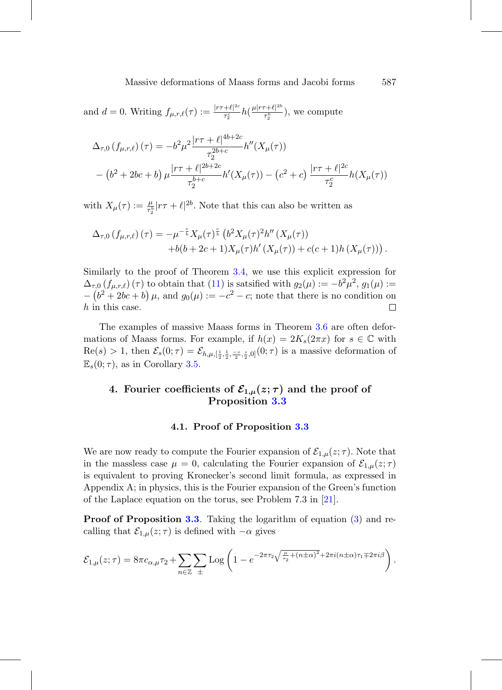and  $d = 0$ . Writing  $f_{\mu,r,\ell}(\tau) := \frac{|r\tau+\ell|^{2c}}{\tau_s^c}$  $\frac{+\ell|^{2c}}{\tau_2^c}h(\frac{\mu|r\tau+\ell|^{2b}}{\tau_2^b}$  $\frac{\tau_1^{\mu} \tau_2^{\mu}}{\tau_2^{\mu}}$ , we compute

$$
\Delta_{\tau,0} (f_{\mu,r,\ell})(\tau) = -b^2 \mu^2 \frac{|\tau \tau + \ell|^{4b+2c}}{\tau_2^{2b+c}} h''(X_\mu(\tau)) \n- (b^2 + 2bc + b) \mu \frac{|\tau \tau + \ell|^{2b+2c}}{\tau_2^{b+c}} h'(X_\mu(\tau)) - (c^2 + c) \frac{|\tau \tau + \ell|^{2c}}{\tau_2^{c}} h(X_\mu(\tau))
$$

with  $X_{\mu}(\tau) := \frac{\mu}{\tau_2^b} |r\tau + \ell|^{2b}$ . Note that this can also be written as

$$
\Delta_{\tau,0} (f_{\mu,r,\ell}) (\tau) = -\mu^{-\frac{c}{b}} X_{\mu}(\tau)^{\frac{c}{b}} (b^2 X_{\mu}(\tau)^2 h'' (X_{\mu}(\tau)) +b(b+2c+1)X_{\mu}(\tau)h' (X_{\mu}(\tau)) + c(c+1)h (X_{\mu}(\tau))) .
$$

Similarly to the proof of Theorem [3.4,](#page-9-0) we use this explicit expression for  $\Delta_{\tau,0}$   $(f_{\mu,r,\ell})$  ( $\tau$ ) to obtain that [\(11\)](#page-5-1) is satsified with  $g_2(\mu) := -b^2\mu^2$ ,  $g_1(\mu) :=$  $-(b^2+2bc+b)\,\mu$ , and  $g_0(\mu) := -c^2 - c$ ; note that there is no condition on h in this case.

The examples of massive Maass forms in Theorem [3.6](#page-11-0) are often deformations of Maass forms. For example, if  $h(x)=2K_s(2\pi x)$  for  $s \in \mathbb{C}$  with  $\text{Re}(s) > 1$ , then  $\mathcal{E}_s(0; \tau) = \mathcal{E}_{h,\mu, [\frac{1}{2}, \frac{1}{2}, \frac{-s}{2}, \frac{s}{2}, 0]}(0; \tau)$  is a massive deformation of  $\mathbb{E}_s(0;\tau)$ , as in Corollary [3.5.](#page-11-1)

## <span id="page-12-0"></span>**4. Fourier coefficients of**  $\mathcal{E}_{1,\mu}(z;\tau)$  **and the proof of Proposition [3.3](#page-9-1)**

#### **4.1. Proof of Proposition [3.3](#page-9-1)**

We are now ready to compute the Fourier expansion of  $\mathcal{E}_{1,\mu}(z;\tau)$ . Note that in the massless case  $\mu = 0$ , calculating the Fourier expansion of  $\mathcal{E}_{1,\mu}(z;\tau)$ is equivalent to proving Kronecker's second limit formula, as expressed in Appendix A; in physics, this is the Fourier expansion of the Green's function of the Laplace equation on the torus, see Problem 7.3 in [\[21](#page-28-3)].

**Proof of Proposition [3.3](#page-9-1)**. Taking the logarithm of equation [\(3\)](#page-2-0) and recalling that  $\mathcal{E}_{1,\mu}(z;\tau)$  is defined with  $-\alpha$  gives

$$
\mathcal{E}_{1,\mu}(z;\tau) = 8\pi c_{\alpha,\mu}\tau_2 + \sum_{n\in\mathbb{Z}} \sum_{\pm} \text{Log}\left(1 - e^{-2\pi\tau_2\sqrt{\frac{\mu}{\tau_2} + (n\pm\alpha)^2} + 2\pi i(n\pm\alpha)\tau_1 \mp 2\pi i\beta}\right).
$$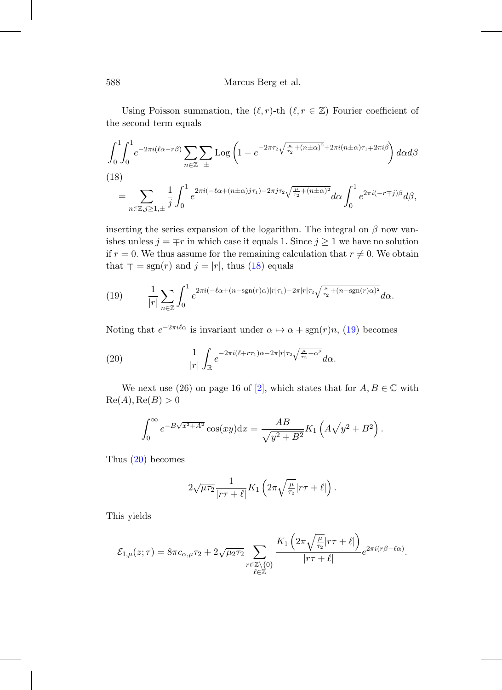Using Poisson summation, the  $(\ell, r)$ -th  $(\ell, r \in \mathbb{Z})$  Fourier coefficient of the second term equals

<span id="page-13-0"></span>
$$
\int_0^1 \int_0^1 e^{-2\pi i (\ell\alpha - r\beta)} \sum_{n \in \mathbb{Z}} \sum_{\pm} \text{Log}\left(1 - e^{-2\pi \tau_2 \sqrt{\frac{\mu}{\tau_2} + (n \pm \alpha)^2} + 2\pi i (n \pm \alpha)\tau_1 \mp 2\pi i \beta}\right) d\alpha d\beta
$$
\n(18)\n
$$
= \sum_{n \in \mathbb{Z}, j \ge 1, \pm} \frac{1}{j} \int_0^1 e^{2\pi i (-\ell\alpha + (n \pm \alpha)j\tau_1) - 2\pi j\tau_2 \sqrt{\frac{\mu}{\tau_2} + (n \pm \alpha)^2}} d\alpha \int_0^1 e^{2\pi i (-r \mp j)\beta} d\beta,
$$

inserting the series expansion of the logarithm. The integral on  $\beta$  now vanishes unless  $j = \mp r$  in which case it equals 1. Since  $j \geq 1$  we have no solution if  $r = 0$ . We thus assume for the remaining calculation that  $r \neq 0$ . We obtain that  $\mp = \text{sgn}(r)$  and  $j = |r|$ , thus [\(18\)](#page-13-0) equals

<span id="page-13-1"></span>(19) 
$$
\frac{1}{|r|} \sum_{n \in \mathbb{Z}} \int_0^1 e^{2\pi i \left(-\ell \alpha + (n - \text{sgn}(r)\alpha)|r|\tau_1\right) - 2\pi |r|\tau_2 \sqrt{\frac{\mu}{\tau_2} + (n - \text{sgn}(r)\alpha)^2}} d\alpha.
$$

Noting that  $e^{-2\pi i \ell \alpha}$  is invariant under  $\alpha \mapsto \alpha + \text{sgn}(r)n$ , [\(19\)](#page-13-1) becomes

(20) 
$$
\frac{1}{|r|} \int_{\mathbb{R}} e^{-2\pi i (\ell + r\tau_1)\alpha - 2\pi |r|\tau_2 \sqrt{\frac{\mu}{\tau_2} + \alpha^2}} d\alpha.
$$

We next use (26) on page 16 of [\[2](#page-26-2)], which states that for  $A, B \in \mathbb{C}$  with  $\text{Re}(A), \text{Re}(B) > 0$ 

<span id="page-13-2"></span>
$$
\int_0^{\infty} e^{-B\sqrt{x^2 + A^2}} \cos(xy) dx = \frac{AB}{\sqrt{y^2 + B^2}} K_1 \left( A\sqrt{y^2 + B^2} \right).
$$

Thus [\(20\)](#page-13-2) becomes

$$
2\sqrt{\mu\tau_2}\frac{1}{|r\tau+\ell|}K_1\left(2\pi\sqrt{\frac{\mu}{\tau_2}}|r\tau+\ell|\right).
$$

This yields

$$
\mathcal{E}_{1,\mu}(z;\tau) = 8\pi c_{\alpha,\mu}\tau_2 + 2\sqrt{\mu_2\tau_2} \sum_{\substack{r \in \mathbb{Z}\setminus\{0\} \\ \ell \in \mathbb{Z}}} \frac{K_1\left(2\pi\sqrt{\frac{\mu}{\tau_2}}|r\tau + \ell|\right)}{|r\tau + \ell|} e^{2\pi i (r\beta - \ell\alpha)}.
$$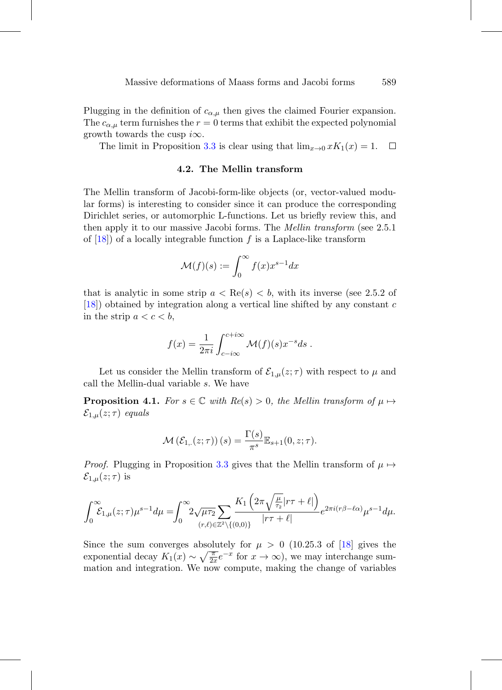Plugging in the definition of  $c_{\alpha,\mu}$  then gives the claimed Fourier expansion. The  $c_{\alpha,\mu}$  term furnishes the  $r = 0$  terms that exhibit the expected polynomial growth towards the cusp  $i\infty$ .

<span id="page-14-1"></span>The limit in Proposition [3.3](#page-9-1) is clear using that  $\lim_{x\to 0} xK_1(x) = 1$ .  $\Box$ 

#### **4.2. The Mellin transform**

The Mellin transform of Jacobi-form-like objects (or, vector-valued modular forms) is interesting to consider since it can produce the corresponding Dirichlet series, or automorphic L-functions. Let us briefly review this, and then apply it to our massive Jacobi forms. The Mellin transform (see 2.5.1 of  $[18]$  $[18]$ ) of a locally integrable function f is a Laplace-like transform

$$
\mathcal{M}(f)(s) := \int_0^\infty f(x) x^{s-1} dx
$$

that is analytic in some strip  $a < \text{Re}(s) < b$ , with its inverse (see 2.5.2 of [\[18\]](#page-27-2)) obtained by integration along a vertical line shifted by any constant c in the strip  $a < c < b$ ,

$$
f(x) = \frac{1}{2\pi i} \int_{c-i\infty}^{c+i\infty} \mathcal{M}(f)(s) x^{-s} ds.
$$

Let us consider the Mellin transform of  $\mathcal{E}_{1,\mu}(z;\tau)$  with respect to  $\mu$  and call the Mellin-dual variable s. We have

<span id="page-14-0"></span>**Proposition 4.1.** For  $s \in \mathbb{C}$  with  $Re(s) > 0$ , the Mellin transform of  $\mu \mapsto$  $\mathcal{E}_{1,\mu}(z;\tau)$  equals

$$
\mathcal{M}\left(\mathcal{E}_{1,.}(z;\tau)\right)(s) = \frac{\Gamma(s)}{\pi^s} \mathbb{E}_{s+1}(0,z;\tau).
$$

*Proof.* Plugging in Proposition [3.3](#page-9-1) gives that the Mellin transform of  $\mu \mapsto$  $\mathcal{E}_{1,\mu}(z;\tau)$  is

$$
\int_0^\infty \mathcal{E}_{1,\mu}(z;\tau)\mu^{s-1}d\mu = \int_0^\infty 2\sqrt{\mu\tau_2} \sum_{(r,\ell)\in\mathbb{Z}^2\backslash\{(0,0)\}} \frac{K_1\left(2\pi\sqrt{\frac{\mu}{\tau_2}}|r\tau+\ell|\right)}{|r\tau+\ell|} e^{2\pi i (r\beta-\ell\alpha)}\mu^{s-1}d\mu.
$$

Since the sum converges absolutely for  $\mu > 0$  (10.25.3 of [\[18\]](#page-27-2) gives the exponential decay  $K_1(x) \sim \sqrt{\frac{\pi}{2x}}e^{-x}$  for  $x \to \infty$ ), we may interchange summation and integration. We now compute, making the change of variables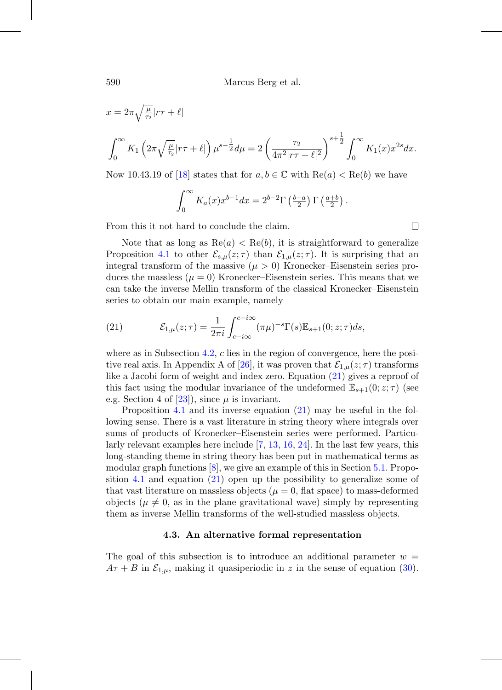590 Marcus Berg et al.

$$
x = 2\pi \sqrt{\frac{\mu}{\tau_2}} |r\tau + \ell|
$$
  

$$
\int_0^\infty K_1 \left( 2\pi \sqrt{\frac{\mu}{\tau_2}} |r\tau + \ell| \right) \mu^{s - \frac{1}{2}} d\mu = 2 \left( \frac{\tau_2}{4\pi^2 |r\tau + \ell|^2} \right)^{s + \frac{1}{2}} \int_0^\infty K_1(x) x^{2s} dx.
$$

Now 10.43.19 of [\[18](#page-27-2)] states that for  $a, b \in \mathbb{C}$  with  $\text{Re}(a) < \text{Re}(b)$  we have

$$
\int_0^\infty K_a(x)x^{b-1}dx = 2^{b-2}\Gamma\left(\frac{b-a}{2}\right)\Gamma\left(\frac{a+b}{2}\right).
$$

 $\Box$ 

From this it not hard to conclude the claim.

Note that as long as  $\text{Re}(a) < \text{Re}(b)$ , it is straightforward to generalize Proposition [4.1](#page-14-0) to other  $\mathcal{E}_{s,\mu}(z;\tau)$  than  $\mathcal{E}_{1,\mu}(z;\tau)$ . It is surprising that an integral transform of the massive  $(\mu > 0)$  Kronecker–Eisenstein series produces the massless  $(\mu = 0)$  Kronecker–Eisenstein series. This means that we can take the inverse Mellin transform of the classical Kronecker–Eisenstein series to obtain our main example, namely

<span id="page-15-1"></span>(21) 
$$
\mathcal{E}_{1,\mu}(z;\tau) = \frac{1}{2\pi i} \int_{c-i\infty}^{c+i\infty} (\pi\mu)^{-s} \Gamma(s) \mathbb{E}_{s+1}(0; z;\tau) ds,
$$

where as in Subsection  $4.2$ , c lies in the region of convergence, here the posi-tive real axis. In Appendix A of [\[26](#page-28-1)], it was proven that  $\mathcal{E}_{1,\mu}(z;\tau)$  transforms like a Jacobi form of weight and index zero. Equation [\(21\)](#page-15-1) gives a reproof of this fact using the modular invariance of the undeformed  $\mathbb{E}_{s+1}(0; z; \tau)$  (see e.g. Section 4 of  $[23]$  $[23]$ , since  $\mu$  is invariant.

Proposition [4.1](#page-14-0) and its inverse equation [\(21\)](#page-15-1) may be useful in the following sense. There is a vast literature in string theory where integrals over sums of products of Kronecker–Eisenstein series were performed. Particularly relevant examples here include [\[7,](#page-26-3) [13,](#page-27-6) [16,](#page-27-7) [24\]](#page-28-5). In the last few years, this long-standing theme in string theory has been put in mathematical terms as modular graph functions [\[8\]](#page-27-8), we give an example of this in Section [5.1.](#page-17-1) Proposition [4.1](#page-14-0) and equation [\(21\)](#page-15-1) open up the possibility to generalize some of that vast literature on massless objects ( $\mu = 0$ , flat space) to mass-deformed objects ( $\mu \neq 0$ , as in the plane gravitational wave) simply by representing them as inverse Mellin transforms of the well-studied massless objects.

#### **4.3. An alternative formal representation**

<span id="page-15-0"></span>The goal of this subsection is to introduce an additional parameter  $w =$  $A\tau + B$  in  $\mathcal{E}_{1,\mu}$ , making it quasiperiodic in z in the sense of equation [\(30\)](#page-23-0).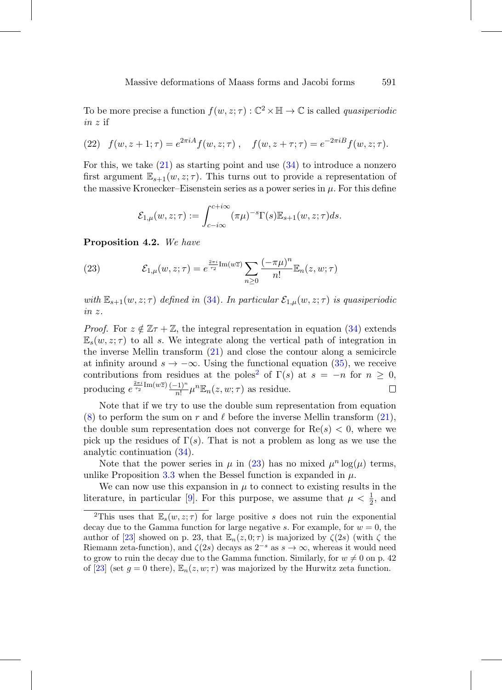To be more precise a function  $f(w, z; \tau) : \mathbb{C}^2 \times \mathbb{H} \to \mathbb{C}$  is called *quasiperiodic* in z if

(22) 
$$
f(w, z + 1; \tau) = e^{2\pi i A} f(w, z; \tau)
$$
,  $f(w, z + \tau; \tau) = e^{-2\pi i B} f(w, z; \tau)$ .

For this, we take  $(21)$  as starting point and use  $(34)$  to introduce a nonzero first argument  $\mathbb{E}_{s+1}(w, z; \tau)$ . This turns out to provide a representation of the massive Kronecker–Eisenstein series as a power series in  $\mu$ . For this define

$$
\mathcal{E}_{1,\mu}(w,z;\tau) := \int_{c-i\infty}^{c+i\infty} (\pi\mu)^{-s} \Gamma(s) \mathbb{E}_{s+1}(w,z;\tau) ds.
$$

**Proposition 4.2.** We have

<span id="page-16-1"></span>(23) 
$$
\mathcal{E}_{1,\mu}(w,z;\tau) = e^{\frac{2\pi i}{\tau_2} \text{Im}(w\overline{z})} \sum_{n\geq 0} \frac{(-\pi\mu)^n}{n!} \mathbb{E}_n(z,w;\tau)
$$

with  $\mathbb{E}_{s+1}(w, z; \tau)$  defined in [\(34\)](#page-25-1). In particular  $\mathcal{E}_{1,\mu}(w, z; \tau)$  is quasiperiodic in z.

*Proof.* For  $z \notin \mathbb{Z} \tau + \mathbb{Z}$ , the integral representation in equation [\(34\)](#page-25-1) extends  $\mathbb{E}_s(w, z; \tau)$  to all s. We integrate along the vertical path of integration in the inverse Mellin transform [\(21\)](#page-15-1) and close the contour along a semicircle at infinity around  $s \to -\infty$ . Using the functional equation [\(35\)](#page-25-2), we receive contributions from residues at the poles<sup>[2](#page-16-0)</sup> of  $\Gamma(s)$  at  $s = -n$  for  $n \geq 0$ , producing  $e^{\frac{2\pi i}{\tau_2} \text{Im}(w\overline{z})} \frac{(-1)^n}{n!} \mu^n \mathbb{E}_n(z, w; \tau)$  as residue. 口

Note that if we try to use the double sum representation from equation [\(8\)](#page-4-2) to perform the sum on r and  $\ell$  before the inverse Mellin transform [\(21\)](#page-15-1), the double sum representation does not converge for  $\text{Re}(s) < 0$ , where we pick up the residues of  $\Gamma(s)$ . That is not a problem as long as we use the analytic continuation [\(34\)](#page-25-1).

Note that the power series in  $\mu$  in [\(23\)](#page-16-1) has no mixed  $\mu^n \log(\mu)$  terms, unlike Proposition [3.3](#page-9-1) when the Bessel function is expanded in  $\mu$ .

We can now use this expansion in  $\mu$  to connect to existing results in the literature, in particular [\[9\]](#page-27-3). For this purpose, we assume that  $\mu < \frac{1}{2}$ , and

<span id="page-16-0"></span><sup>&</sup>lt;sup>2</sup>This uses that  $\mathbb{E}_s(w, z; \tau)$  for large positive s does not ruin the exponential decay due to the Gamma function for large negative s. For example, for  $w = 0$ , the author of [\[23\]](#page-28-4) showed on p. 23, that  $\mathbb{E}_n(z, 0; \tau)$  is majorized by  $\zeta(2s)$  (with  $\zeta$  the Riemann zeta-function), and  $\zeta(2s)$  decays as  $2^{-s}$  as  $s \to \infty$ , whereas it would need to grow to ruin the decay due to the Gamma function. Similarly, for  $w \neq 0$  on p. 42 of [\[23\]](#page-28-4) (set  $g = 0$  there),  $\mathbb{E}_n(z, w; \tau)$  was majorized by the Hurwitz zeta function.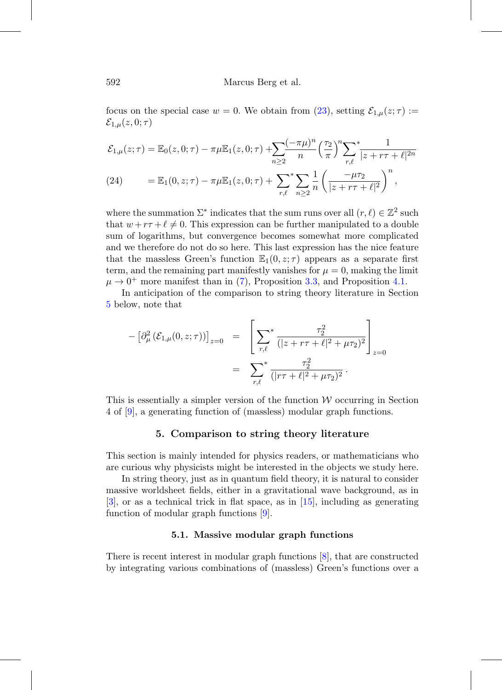focus on the special case  $w = 0$ . We obtain from [\(23\)](#page-16-1), setting  $\mathcal{E}_{1,\mu}(z;\tau) :=$  $\mathcal{E}_{1,\mu}(z,0;\tau)$ 

<span id="page-17-2"></span>
$$
\mathcal{E}_{1,\mu}(z;\tau) = \mathbb{E}_0(z,0;\tau) - \pi\mu \mathbb{E}_1(z,0;\tau) + \sum_{n\geq 2} \frac{(-\pi\mu)^n}{n} \left(\frac{\tau_2}{\pi}\right)^n \sum_{r,\ell} \frac{1}{|z+r\tau+\ell|^{2n}}
$$
  
(24) 
$$
= \mathbb{E}_1(0,z;\tau) - \pi\mu \mathbb{E}_1(z,0;\tau) + \sum_{r,\ell} \sum_{n\geq 2} \frac{1}{n} \left(\frac{-\mu\tau_2}{|z+r\tau+\ell|^2}\right)^n,
$$

where the summation  $\Sigma^*$  indicates that the sum runs over all  $(r, \ell) \in \mathbb{Z}^2$  such that  $w + r\tau + \ell \neq 0$ . This expression can be further manipulated to a double sum of logarithms, but convergence becomes somewhat more complicated and we therefore do not do so here. This last expression has the nice feature that the massless Green's function  $\mathbb{E}_1(0, z; \tau)$  appears as a separate first term, and the remaining part manifestly vanishes for  $\mu = 0$ , making the limit  $\mu \rightarrow 0^+$  more manifest than in [\(7\)](#page-4-3), Proposition [3.3,](#page-9-1) and Proposition [4.1.](#page-14-0)

In anticipation of the comparison to string theory literature in Section [5](#page-17-0) below, note that

$$
- \left[ \partial_{\mu}^{2} (\mathcal{E}_{1,\mu}(0,z;\tau)) \right]_{z=0} = \left[ \sum_{r,\ell}^{*} \frac{\tau_{2}^{2}}{(|z+r\tau + \ell|^{2} + \mu \tau_{2})^{2}} \right]_{z=0}
$$
  

$$
= \sum_{r,\ell}^{*} \frac{\tau_{2}^{2}}{(|r\tau + \ell|^{2} + \mu \tau_{2})^{2}}.
$$

<span id="page-17-0"></span>This is essentially a simpler version of the function  $W$  occurring in Section 4 of [\[9\]](#page-27-3), a generating function of (massless) modular graph functions.

#### **5. Comparison to string theory literature**

This section is mainly intended for physics readers, or mathematicians who are curious why physicists might be interested in the objects we study here.

In string theory, just as in quantum field theory, it is natural to consider massive worldsheet fields, either in a gravitational wave background, as in [\[3](#page-26-4)], or as a technical trick in flat space, as in [\[15](#page-27-9)], including as generating function of modular graph functions [\[9\]](#page-27-3).

#### **5.1. Massive modular graph functions**

<span id="page-17-1"></span>There is recent interest in modular graph functions [\[8\]](#page-27-8), that are constructed by integrating various combinations of (massless) Green's functions over a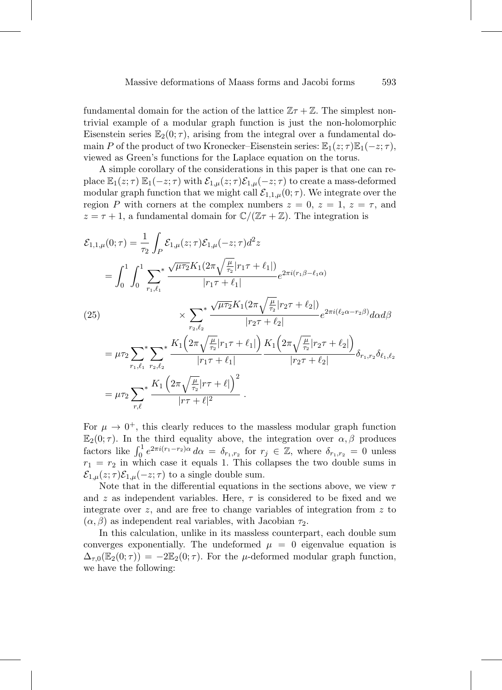fundamental domain for the action of the lattice  $\mathbb{Z} \tau + \mathbb{Z}$ . The simplest nontrivial example of a modular graph function is just the non-holomorphic Eisenstein series  $\mathbb{E}_2(0;\tau)$ , arising from the integral over a fundamental domain P of the product of two Kronecker–Eisenstein series:  $\mathbb{E}_1(z;\tau)\mathbb{E}_1(-z;\tau)$ , viewed as Green's functions for the Laplace equation on the torus.

A simple corollary of the considerations in this paper is that one can replace  $\mathbb{E}_1(z;\tau) \mathbb{E}_1(-z;\tau)$  with  $\mathcal{E}_{1,\mu}(z;\tau) \mathcal{E}_{1,\mu}(-z;\tau)$  to create a mass-deformed modular graph function that we might call  $\mathcal{E}_{1,1,\mu}(0;\tau)$ . We integrate over the region P with corners at the complex numbers  $z = 0$ ,  $z = 1$ ,  $z = \tau$ , and  $z = \tau + 1$ , a fundamental domain for  $\mathbb{C}/(\mathbb{Z}\tau + \mathbb{Z})$ . The integration is

<span id="page-18-0"></span>
$$
\mathcal{E}_{1,1,\mu}(0;\tau) = \frac{1}{\tau_2} \int_P \mathcal{E}_{1,\mu}(z;\tau) \mathcal{E}_{1,\mu}(-z;\tau) d^2 z
$$
\n
$$
= \int_0^1 \int_0^1 \sum_{r_1,\ell_1}^* \frac{\sqrt{\mu \tau_2} K_1(2\pi \sqrt{\frac{\mu}{\tau_2}} |r_1 \tau + \ell_1|)}{|r_1 \tau + \ell_1|} e^{2\pi i (r_1 \beta - \ell_1 \alpha)}
$$
\n(25)\n
$$
\times \sum_{r_2,\ell_2}^* \frac{\sqrt{\mu \tau_2} K_1(2\pi \sqrt{\frac{\mu}{\tau_2}} |r_2 \tau + \ell_2|)}{|r_2 \tau + \ell_2|} e^{2\pi i (\ell_2 \alpha - r_2 \beta)} d\alpha d\beta
$$
\n
$$
= \mu \tau_2 \sum_{r_1,\ell_1}^* \sum_{r_2,\ell_2}^* \frac{K_1(2\pi \sqrt{\frac{\mu}{\tau_2}} |r_1 \tau + \ell_1|)}{|r_1 \tau + \ell_1|} \frac{K_1(2\pi \sqrt{\frac{\mu}{\tau_2}} |r_2 \tau + \ell_2|)}{|r_2 \tau + \ell_2|} \delta_{r_1,r_2} \delta_{\ell_1,\ell_2}
$$
\n
$$
= \mu \tau_2 \sum_{r,\ell}^* \frac{K_1(2\pi \sqrt{\frac{\mu}{\tau_2}} |r \tau + \ell|)}{|r \tau + \ell|^2}.
$$

For  $\mu \to 0^+$ , this clearly reduces to the massless modular graph function  $\mathbb{E}_2(0;\tau)$ . In the third equality above, the integration over  $\alpha, \beta$  produces factors like  $\int_0^1 e^{2\pi i (r_1 - r_2)\alpha} d\alpha = \delta_{r_1, r_2}$  for  $r_j \in \mathbb{Z}$ , where  $\delta_{r_1, r_2} = 0$  unless  $r_1 = r_2$  in which case it equals 1. This collapses the two double sums in  $\mathcal{E}_{1,\mu}(z;\tau)\mathcal{E}_{1,\mu}(-z;\tau)$  to a single double sum.

Note that in the differential equations in the sections above, we view  $\tau$ and z as independent variables. Here,  $\tau$  is considered to be fixed and we integrate over  $z$ , and are free to change variables of integration from  $z$  to  $(\alpha, \beta)$  as independent real variables, with Jacobian  $\tau_2$ .

In this calculation, unlike in its massless counterpart, each double sum converges exponentially. The undeformed  $\mu = 0$  eigenvalue equation is  $\Delta_{\tau,0}(\mathbb{E}_2(0;\tau)) = -2\mathbb{E}_2(0;\tau)$ . For the *μ*-deformed modular graph function, we have the following: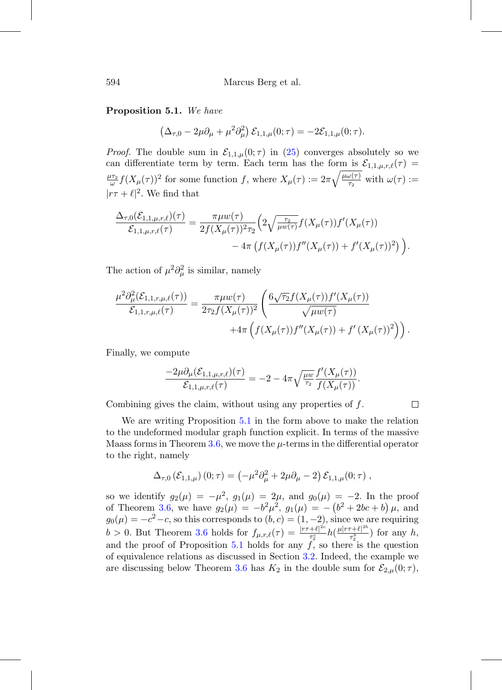#### <span id="page-19-0"></span>**Proposition 5.1.** We have

$$
(\Delta_{\tau,0} - 2\mu \partial_{\mu} + \mu^2 \partial_{\mu}^2) \mathcal{E}_{1,1,\mu}(0;\tau) = -2\mathcal{E}_{1,1,\mu}(0;\tau).
$$

*Proof.* The double sum in  $\mathcal{E}_{1,1,\mu}(0;\tau)$  in [\(25\)](#page-18-0) converges absolutely so we can differentiate term by term. Each term has the form is  $\mathcal{E}_{1,1,\mu,r,\ell}(\tau) =$  $\frac{\mu\tau_2}{\omega}f(X_\mu(\tau))^2$  for some function f, where  $X_\mu(\tau) := 2\pi\sqrt{\frac{\mu\omega(\tau)}{\tau_2}}$  with  $\omega(\tau) :=$  $|r\tau + \ell|^2$ . We find that

$$
\frac{\Delta_{\tau,0}(\mathcal{E}_{1,1,\mu,r,\ell})(\tau)}{\mathcal{E}_{1,1,\mu,r,\ell}(\tau)} = \frac{\pi \mu w(\tau)}{2f(X_{\mu}(\tau))^2 \tau_2} \Big( 2 \sqrt{\frac{\tau_2}{\mu w(\tau)}} f(X_{\mu}(\tau)) f'(X_{\mu}(\tau)) - 4\pi \left( f(X_{\mu}(\tau)) f''(X_{\mu}(\tau)) + f'(X_{\mu}(\tau))^2 \right) \Big).
$$

The action of  $\mu^2 \partial^2_\mu$  is similar, namely

$$
\frac{\mu^2 \partial_{\mu}^2(\mathcal{E}_{1,1,r,\mu,\ell}(\tau))}{\mathcal{E}_{1,1,r,\mu,\ell}(\tau)} = \frac{\pi \mu w(\tau)}{2\tau_2 f(X_{\mu}(\tau))^2} \left( \frac{6\sqrt{\tau_2} f(X_{\mu}(\tau)) f'(X_{\mu}(\tau))}{\sqrt{\mu w(\tau)}} + 4\pi \left( f(X_{\mu}(\tau)) f''(X_{\mu}(\tau)) + f'(X_{\mu}(\tau))^2 \right) \right).
$$

Finally, we compute

$$
\frac{-2\mu \partial_{\mu}(\mathcal{E}_{1,1,\mu,r,\ell})(\tau)}{\mathcal{E}_{1,1,\mu,r,\ell}(\tau)} = -2 - 4\pi \sqrt{\frac{\mu w}{\tau_2}} \frac{f'(X_{\mu}(\tau))}{f(X_{\mu}(\tau))}.
$$

 $\Box$ 

Combining gives the claim, without using any properties of  $f$ .

We are writing Proposition [5.1](#page-19-0) in the form above to make the relation to the undeformed modular graph function explicit. In terms of the massive Maass forms in Theorem [3.6,](#page-11-0) we move the  $\mu$ -terms in the differential operator to the right, namely

$$
\Delta_{\tau,0} (\mathcal{E}_{1,1,\mu}) (0;\tau) = \left(-\mu^2 \partial_{\mu}^2 + 2\mu \partial_{\mu} - 2\right) \mathcal{E}_{1,1,\mu}(0;\tau) ,
$$

so we identify  $g_2(\mu) = -\mu^2$ ,  $g_1(\mu) = 2\mu$ , and  $g_0(\mu) = -2$ . In the proof of Theorem [3.6,](#page-11-0) we have  $g_2(\mu) = -b^2 \mu^2$ ,  $g_1(\mu) = -(b^2 + 2bc + b)\mu$ , and  $g_0(\mu) = -c^2 - c$ , so this corresponds to  $(b, c) = (1, -2)$ , since we are requiring  $b > 0$ . But Theorem [3.6](#page-11-0) holds for  $f_{\mu,r,\ell}(\tau) = \frac{|r\tau+\ell|^{2c}}{\tau_s^c}$  $\frac{+\ell|^{2c}}{\tau_2^c}h(\frac{\mu|r\tau+\ell|^{2b}}{\tau_2^b}$  $\frac{\tau_1^{k+1}}{\tau_2^{k}}$  for any h, and the proof of Proposition [5.1](#page-19-0) holds for any  $f$ , so there is the question of equivalence relations as discussed in Section [3.2.](#page-8-0) Indeed, the example we are discussing below Theorem [3.6](#page-11-0) has  $K_2$  in the double sum for  $\mathcal{E}_{2,\mu}(0;\tau)$ ,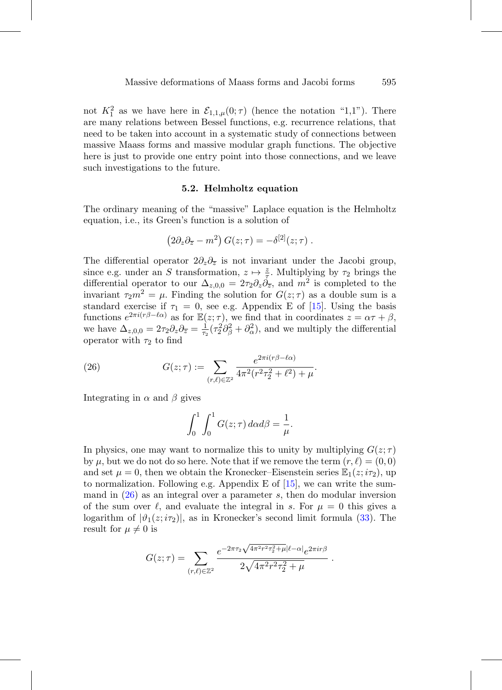not  $K_1^2$  as we have here in  $\mathcal{E}_{1,1,\mu}(0;\tau)$  (hence the notation "1,1"). There are many relations between Bessel functions, e.g. recurrence relations, that need to be taken into account in a systematic study of connections between massive Maass forms and massive modular graph functions. The objective here is just to provide one entry point into those connections, and we leave such investigations to the future.

#### **5.2. Helmholtz equation**

The ordinary meaning of the "massive" Laplace equation is the Helmholtz equation, i.e., its Green's function is a solution of

$$
(2\partial_z \partial_{\overline{z}} - m^2) G(z;\tau) = -\delta^{[2]}(z;\tau) .
$$

The differential operator  $2\partial_z\partial_{\overline{z}}$  is not invariant under the Jacobi group, since e.g. under an S transformation,  $z \mapsto \frac{z}{z}$ . Multiplying by  $\tau_2$  brings the differential operator to our  $\Delta_{z,0,0} = 2\tau_2 \partial_z \dot{\partial}_{\overline{z}},$  and  $m^2$  is completed to the invariant  $\tau_2 m^2 = \mu$ . Finding the solution for  $G(z;\tau)$  as a double sum is a standard exercise if  $\tau_1 = 0$ , see e.g. Appendix E of [\[15](#page-27-9)]. Using the basis functions  $e^{2\pi i (r\beta - \ell\alpha)}$  as for  $\mathbb{E}(z;\tau)$ , we find that in coordinates  $z = \alpha \tau + \beta$ , we have  $\Delta_{z,0,0} = 2\tau_2 \partial_z \partial_{\overline{z}} = \frac{1}{\tau_2} (\tau_2^2 \partial_{\beta}^2 + \partial_{\alpha}^2)$ , and we multiply the differential operator with  $\tau_2$  to find

(26) 
$$
G(z; \tau) := \sum_{(r,\ell) \in \mathbb{Z}^2} \frac{e^{2\pi i (r\beta - \ell \alpha)}}{4\pi^2 (r^2 \tau_2^2 + \ell^2) + \mu}.
$$

Integrating in  $\alpha$  and  $\beta$  gives

<span id="page-20-0"></span>
$$
\int_0^1 \int_0^1 G(z;\tau) \, d\alpha d\beta = \frac{1}{\mu}.
$$

In physics, one may want to normalize this to unity by multiplying  $G(z;\tau)$ by  $\mu$ , but we do not do so here. Note that if we remove the term  $(r, \ell) = (0, 0)$ and set  $\mu = 0$ , then we obtain the Kronecker–Eisenstein series  $\mathbb{E}_1(z; i\tau_2)$ , up to normalization. Following e.g. Appendix E of  $[15]$  $[15]$ , we can write the summand in  $(26)$  as an integral over a parameter s, then do modular inversion of the sum over  $\ell$ , and evaluate the integral in s. For  $\mu = 0$  this gives a logarithm of  $|\vartheta_1(z; i\tau_2)|$ , as in Kronecker's second limit formula [\(33\)](#page-24-0). The result for  $\mu \neq 0$  is

$$
G(z;\tau) = \sum_{(r,\ell)\in\mathbb{Z}^2} \frac{e^{-2\pi\tau_2\sqrt{4\pi^2r^2\tau_2^2+\mu}|\ell-\alpha|}e^{2\pi ir\beta}}{2\sqrt{4\pi^2r^2\tau_2^2+\mu}}.
$$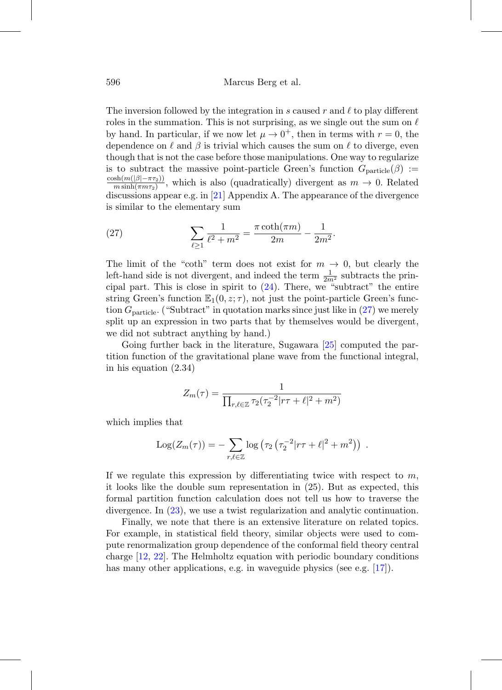The inversion followed by the integration in s caused r and  $\ell$  to play different roles in the summation. This is not surprising, as we single out the sum on  $\ell$ by hand. In particular, if we now let  $\mu \to 0^+$ , then in terms with  $r = 0$ , the dependence on  $\ell$  and  $\beta$  is trivial which causes the sum on  $\ell$  to diverge, even though that is not the case before those manipulations. One way to regularize is to subtract the massive point-particle Green's function  $G_{\text{particle}}(\beta)$  :=  $\frac{\cosh(m(|\beta|-\pi\tau_2))}{m\sinh(\pi m\tau_2)}$ , which is also (quadratically) divergent as  $m \to 0$ . Related discussions appear e.g. in [\[21\]](#page-28-3) Appendix A. The appearance of the divergence is similar to the elementary sum

<span id="page-21-0"></span>(27) 
$$
\sum_{\ell \ge 1} \frac{1}{\ell^2 + m^2} = \frac{\pi \coth(\pi m)}{2m} - \frac{1}{2m^2}.
$$

The limit of the "coth" term does not exist for  $m \to 0$ , but clearly the left-hand side is not divergent, and indeed the term  $\frac{1}{2m^2}$  subtracts the principal part. This is close in spirit to  $(24)$ . There, we "subtract" the entire string Green's function  $\mathbb{E}_1(0, z; \tau)$ , not just the point-particle Green's function  $G<sub>particle</sub>$ . ("Subtract" in quotation marks since just like in [\(27\)](#page-21-0) we merely split up an expression in two parts that by themselves would be divergent, we did not subtract anything by hand.)

Going further back in the literature, Sugawara [\[25](#page-28-2)] computed the partition function of the gravitational plane wave from the functional integral, in his equation (2.34)

$$
Z_m(\tau) = \frac{1}{\prod_{r,\ell \in \mathbb{Z}} \tau_2(\tau_2^{-2} | r\tau + \ell |^2 + m^2)}
$$

which implies that

Log
$$
(Z_m(\tau)) = -\sum_{r,\ell \in \mathbb{Z}} \log (\tau_2 (\tau_2^{-2} |r\tau + \ell|^2 + m^2))
$$
.

If we regulate this expression by differentiating twice with respect to  $m$ , it looks like the double sum representation in (25). But as expected, this formal partition function calculation does not tell us how to traverse the divergence. In [\(23\)](#page-16-1), we use a twist regularization and analytic continuation.

Finally, we note that there is an extensive literature on related topics. For example, in statistical field theory, similar objects were used to compute renormalization group dependence of the conformal field theory central charge [\[12,](#page-27-10) [22](#page-28-0)]. The Helmholtz equation with periodic boundary conditions has many other applications, e.g. in waveguide physics (see e.g. [\[17](#page-27-11)]).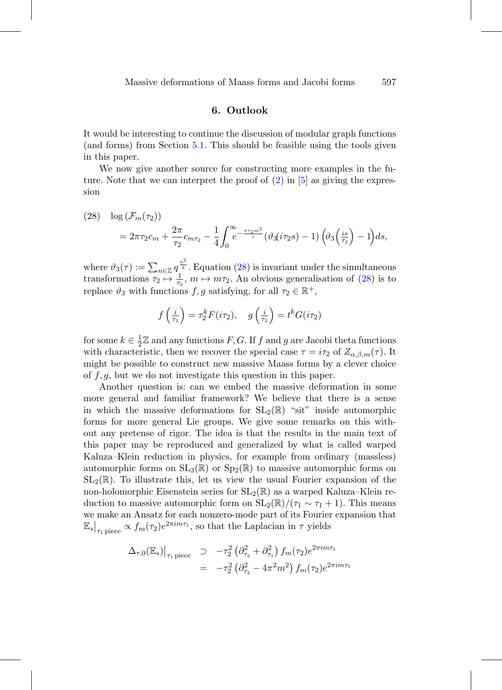#### **6. Outlook**

It would be interesting to continue the discussion of modular graph functions (and forms) from Section [5.1.](#page-17-1) This should be feasible using the tools given in this paper.

We now give another source for constructing more examples in the future. Note that we can interpret the proof of  $(2)$  in [\[5](#page-26-0)] as giving the expression

<span id="page-22-0"></span>(28) 
$$
\log (\mathcal{F}_m(\tau_2)) = 2\pi \tau_2 c_m + \frac{2\pi}{\tau_2} c_{m\tau_2} - \frac{1}{4} \int_0^\infty e^{-\frac{\pi \tau_2 m^2}{s}} (\vartheta_3(i\tau_2 s) - 1) (\vartheta_3(\frac{is}{\tau_2}) - 1) ds,
$$

where  $\vartheta_3(\tau) := \sum_{n \in \mathbb{Z}} q^{\frac{n^2}{2}}$ . Equation [\(28\)](#page-22-0) is invariant under the simultaneous transformations  $\tau_2 \mapsto \frac{1}{\tau_2}$ ,  $m \mapsto m\tau_2$ . An obvious generalisation of [\(28\)](#page-22-0) is to replace  $\vartheta_3$  with functions f, g satisfying, for all  $\tau_2 \in \mathbb{R}^+$ ,

$$
f\left(\frac{i}{\tau_2}\right) = \tau_2^k F(i\tau_2), \quad g\left(\frac{i}{\tau_2}\right) = t^k G(i\tau_2)
$$

for some  $k \in \frac{1}{2}\mathbb{Z}$  and any functions  $F, G$ . If  $f$  and  $g$  are Jacobi theta functions with characteristic, then we recover the special case  $\tau = i\tau_2$  of  $Z_{\alpha,\beta,m}(\tau)$ . It might be possible to construct new massive Maass forms by a clever choice of  $f, g$ , but we do not investigate this question in this paper.

Another question is: can we embed the massive deformation in some more general and familiar framework? We believe that there is a sense in which the massive deformations for  $SL_2(\mathbb{R})$  "sit" inside automorphic forms for more general Lie groups. We give some remarks on this without any pretense of rigor. The idea is that the results in the main text of this paper may be reproduced and generalized by what is called warped Kaluza–Klein reduction in physics, for example from ordinary (massless) automorphic forms on  $SL_3(\mathbb{R})$  or  $Sp_2(\mathbb{R})$  to massive automorphic forms on  $SL_2(\mathbb{R})$ . To illustrate this, let us view the usual Fourier expansion of the non-holomorphic Eisenstein series for  $SL_2(\mathbb{R})$  as a warped Kaluza–Klein reduction to massive automorphic form on  $SL_2(\mathbb{R})/(\tau_1 \sim \tau_1 + 1)$ . This means we make an Ansatz for each nonzero-mode part of its Fourier expansion that  $\mathbb{E}_s|_{\tau_1 \text{ piece}} \propto f_m(\tau_2) e^{2\pi i m \tau_1}$ , so that the Laplacian in  $\tau$  yields

$$
\Delta_{\tau,0}(\mathbb{E}_s)|_{\tau_1 \text{ piece}} \supset -\tau_2^2 \left(\partial_{\tau_2}^2 + \partial_{\tau_1}^2\right) f_m(\tau_2) e^{2\pi i m \tau_1} = -\tau_2^2 \left(\partial_{\tau_2}^2 - 4\pi^2 m^2\right) f_m(\tau_2) e^{2\pi i m \tau_1}
$$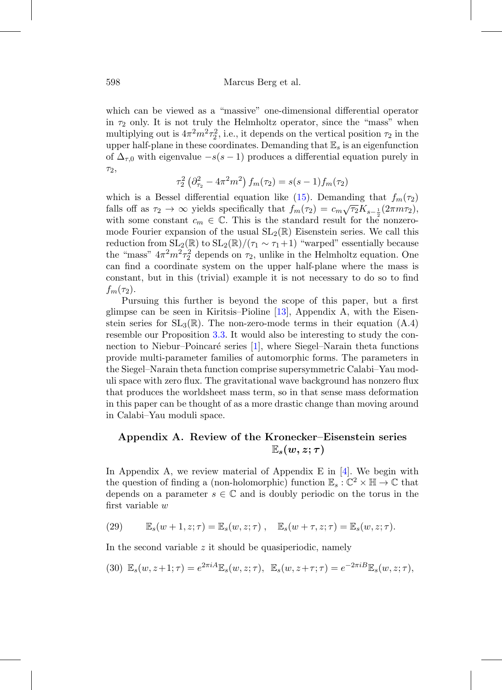which can be viewed as a "massive" one-dimensional differential operator in  $\tau_2$  only. It is not truly the Helmholtz operator, since the "mass" when multiplying out is  $4\pi^2 m^2 \tau_2^2$ , i.e., it depends on the vertical position  $\tau_2$  in the upper half-plane in these coordinates. Demanding that  $\mathbb{E}_s$  is an eigenfunction of  $\Delta_{\tau,0}$  with eigenvalue  $-s(s-1)$  produces a differential equation purely in τ2,

$$
\tau_2^2 \left( \partial_{\tau_2}^2 - 4\pi^2 m^2 \right) f_m(\tau_2) = s(s-1) f_m(\tau_2)
$$

which is a Bessel differential equation like [\(15\)](#page-8-2). Demanding that  $f_m(\tau_2)$ falls off as  $\tau_2 \to \infty$  yields specifically that  $f_m(\tau_2) = c_m \sqrt{\tau_2} K_{s-\frac{1}{2}}(2\pi m \tau_2),$ with some constant  $c_m \in \mathbb{C}$ . This is the standard result for the nonzeromode Fourier expansion of the usual  $SL_2(\mathbb{R})$  Eisenstein series. We call this reduction from  $SL_2(\mathbb{R})$  to  $SL_2(\mathbb{R})/(\tau_1 \sim \tau_1+1)$  "warped" essentially because the "mass"  $4\pi^2 m^2 \tau_2^2$  depends on  $\tau_2$ , unlike in the Helmholtz equation. One can find a coordinate system on the upper half-plane where the mass is constant, but in this (trivial) example it is not necessary to do so to find  $f_m(\tau_2)$ .

Pursuing this further is beyond the scope of this paper, but a first glimpse can be seen in Kiritsis–Pioline [\[13](#page-27-6)], Appendix A, with the Eisenstein series for  $SL_3(\mathbb{R})$ . The non-zero-mode terms in their equation  $(A.4)$ resemble our Proposition [3.3.](#page-9-1) It would also be interesting to study the connection to Niebur–Poincaré series  $[1]$ , where Siegel–Narain theta functions provide multi-parameter families of automorphic forms. The parameters in the Siegel–Narain theta function comprise supersymmetric Calabi–Yau moduli space with zero flux. The gravitational wave background has nonzero flux that produces the worldsheet mass term, so in that sense mass deformation in this paper can be thought of as a more drastic change than moving around in Calabi–Yau moduli space.

## **Appendix A. Review of the Kronecker–Eisenstein series**  $\mathbb{E}_s(w,z;\tau)$

In Appendix A, we review material of Appendix E in  $[4]$  $[4]$ . We begin with the question of finding a (non-holomorphic) function  $\mathbb{E}_s : \mathbb{C}^2 \times \mathbb{H} \to \mathbb{C}$  that depends on a parameter  $s \in \mathbb{C}$  and is doubly periodic on the torus in the first variable w

<span id="page-23-1"></span>(29) 
$$
\mathbb{E}_s(w+1,z;\tau)=\mathbb{E}_s(w,z;\tau), \quad \mathbb{E}_s(w+\tau,z;\tau)=\mathbb{E}_s(w,z;\tau).
$$

In the second variable  $z$  it should be quasiperiodic, namely

<span id="page-23-0"></span>(30) 
$$
\mathbb{E}_s(w, z+1; \tau) = e^{2\pi i A} \mathbb{E}_s(w, z; \tau), \quad \mathbb{E}_s(w, z+\tau; \tau) = e^{-2\pi i B} \mathbb{E}_s(w, z; \tau),
$$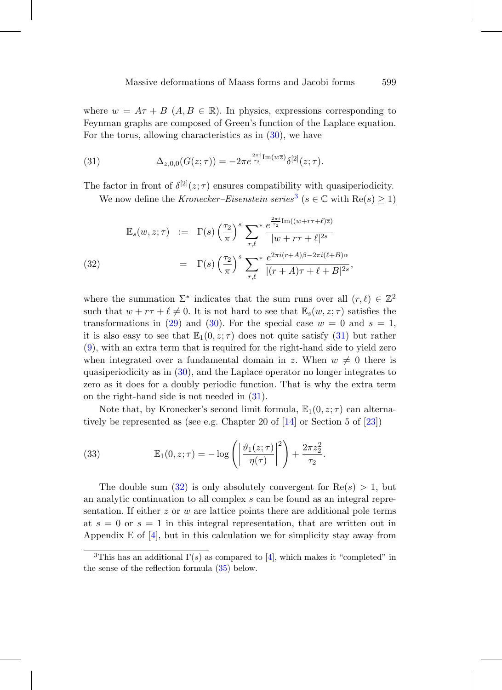where  $w = A\tau + B$   $(A, B \in \mathbb{R})$ . In physics, expressions corresponding to Feynman graphs are composed of Green's function of the Laplace equation. For the torus, allowing characteristics as in [\(30\)](#page-23-0), we have

(31) 
$$
\Delta_{z,0,0}(G(z;\tau)) = -2\pi e^{\frac{2\pi i}{\tau_2} \text{Im}(w\overline{z})} \delta^{[2]}(z;\tau).
$$

The factor in front of  $\delta^{[2]}(z;\tau)$  ensures compatibility with quasiperiodicity.

<span id="page-24-3"></span>We now define the Kronecker–Eisenstein series<sup>[3](#page-24-2)</sup> ( $s \in \mathbb{C}$  with  $\text{Re}(s) \geq 1$ )

<span id="page-24-1"></span>(32) 
$$
\mathbb{E}_s(w, z; \tau) := \Gamma(s) \left(\frac{\tau_2}{\pi}\right)^s \sum_{r, \ell}^* \frac{e^{\frac{2\pi i}{\tau_2} \text{Im}((w+r\tau+\ell)\overline{z})}}{|w+r\tau+\ell|^{2s}} \n= \Gamma(s) \left(\frac{\tau_2}{\pi}\right)^s \sum_{r, \ell}^* \frac{e^{2\pi i (r+A)\beta - 2\pi i (\ell+B)\alpha}}{|(r+A)\tau+\ell+B|^{2s}},
$$

where the summation  $\Sigma^*$  indicates that the sum runs over all  $(r, \ell) \in \mathbb{Z}^2$ such that  $w + r\tau + \ell \neq 0$ . It is not hard to see that  $\mathbb{E}_s(w, z; \tau)$  satisfies the transformations in [\(29\)](#page-23-1) and [\(30\)](#page-23-0). For the special case  $w = 0$  and  $s = 1$ , it is also easy to see that  $\mathbb{E}_1(0, z; \tau)$  does not quite satisfy [\(31\)](#page-24-3) but rather [\(9\)](#page-4-0), with an extra term that is required for the right-hand side to yield zero when integrated over a fundamental domain in z. When  $w \neq 0$  there is quasiperiodicity as in [\(30\)](#page-23-0), and the Laplace operator no longer integrates to zero as it does for a doubly periodic function. That is why the extra term on the right-hand side is not needed in [\(31\)](#page-24-3).

Note that, by Kronecker's second limit formula,  $\mathbb{E}_1(0, z; \tau)$  can alternatively be represented as (see e.g. Chapter 20 of [\[14](#page-27-12)] or Section 5 of [\[23\]](#page-28-4))

<span id="page-24-0"></span>(33) 
$$
\mathbb{E}_1(0, z; \tau) = -\log\left(\left|\frac{\vartheta_1(z; \tau)}{\eta(\tau)}\right|^2\right) + \frac{2\pi z_2^2}{\tau_2}.
$$

The double sum  $(32)$  is only absolutely convergent for  $Re(s) > 1$ , but an analytic continuation to all complex s can be found as an integral representation. If either  $z$  or  $w$  are lattice points there are additional pole terms at  $s = 0$  or  $s = 1$  in this integral representation, that are written out in Appendix E of  $[4]$  $[4]$ , but in this calculation we for simplicity stay away from

<span id="page-24-2"></span><sup>&</sup>lt;sup>3</sup>This has an additional  $\Gamma(s)$  as compared to [\[4](#page-26-6)], which makes it "completed" in the sense of the reflection formula [\(35\)](#page-25-2) below.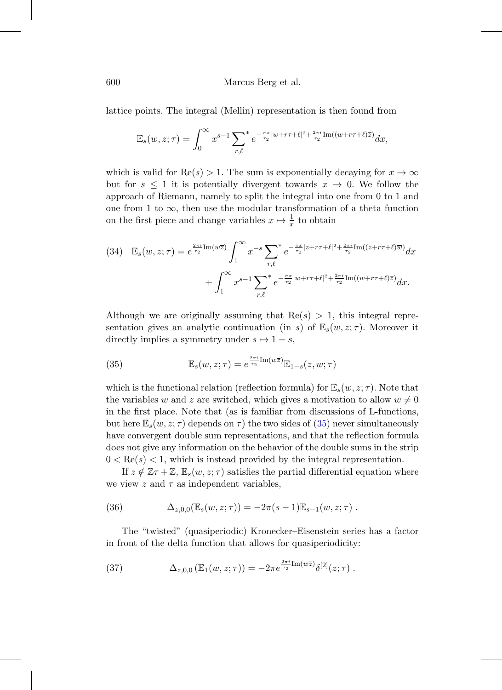600 Marcus Berg et al.

lattice points. The integral (Mellin) representation is then found from

$$
\mathbb{E}_s(w,z;\tau) = \int_0^\infty x^{s-1} \sum_{r,\ell}^* e^{-\frac{\pi x}{\tau_2}|w+r\tau+\ell|^2 + \frac{2\pi i}{\tau_2}} \text{Im}((w+r\tau+\ell)\overline{z}) dx,
$$

which is valid for  $\text{Re}(s) > 1$ . The sum is exponentially decaying for  $x \to \infty$ but for  $s \leq 1$  it is potentially divergent towards  $x \to 0$ . We follow the approach of Riemann, namely to split the integral into one from 0 to 1 and one from 1 to  $\infty$ , then use the modular transformation of a theta function on the first piece and change variables  $x \mapsto \frac{1}{x}$  to obtain

<span id="page-25-1"></span>
$$
(34) \mathbb{E}_{s}(w, z; \tau) = e^{\frac{2\pi i}{\tau_2} \text{Im}(w\overline{z})} \int_{1}^{\infty} x^{-s} \sum_{r,\ell}^{*} e^{-\frac{\pi x}{\tau_2} |z + r\tau + \ell|^2 + \frac{2\pi i}{\tau_2} \text{Im}((z + r\tau + \ell)\overline{w})} dx + \int_{1}^{\infty} x^{s-1} \sum_{r,\ell}^{*} e^{-\frac{\pi x}{\tau_2} |w + r\tau + \ell|^2 + \frac{2\pi i}{\tau_2} \text{Im}((w + r\tau + \ell)\overline{z})} dx.
$$

Although we are originally assuming that  $Re(s) > 1$ , this integral representation gives an analytic continuation (in s) of  $\mathbb{E}_s(w, z; \tau)$ . Moreover it directly implies a symmetry under  $s \mapsto 1 - s$ ,

<span id="page-25-2"></span>(35) 
$$
\mathbb{E}_s(w, z; \tau) = e^{\frac{2\pi i}{\tau_2} \text{Im}(w\overline{z})} \mathbb{E}_{1-s}(z, w; \tau)
$$

which is the functional relation (reflection formula) for  $\mathbb{E}_s(w, z; \tau)$ . Note that the variables w and z are switched, which gives a motivation to allow  $w \neq 0$ in the first place. Note that (as is familiar from discussions of L-functions, but here  $\mathbb{E}_s(w, z; \tau)$  depends on  $\tau$ ) the two sides of [\(35\)](#page-25-2) never simultaneously have convergent double sum representations, and that the reflection formula does not give any information on the behavior of the double sums in the strip  $0 < \text{Re}(s) < 1$ , which is instead provided by the integral representation.

If  $z \notin \mathbb{Z} \tau + \mathbb{Z}, \mathbb{E}_s(w, z; \tau)$  satisfies the partial differential equation where we view z and  $\tau$  as independent variables,

<span id="page-25-0"></span>(36) 
$$
\Delta_{z,0,0}(\mathbb{E}_s(w,z;\tau)) = -2\pi(s-1)\mathbb{E}_{s-1}(w,z;\tau).
$$

The "twisted" (quasiperiodic) Kronecker–Eisenstein series has a factor in front of the delta function that allows for quasiperiodicity:

<span id="page-25-3"></span>(37) 
$$
\Delta_{z,0,0} (\mathbb{E}_1(w,z;\tau)) = -2\pi e^{\frac{2\pi i}{\tau_2} \text{Im}(w\overline{z})} \delta^{[2]}(z;\tau) .
$$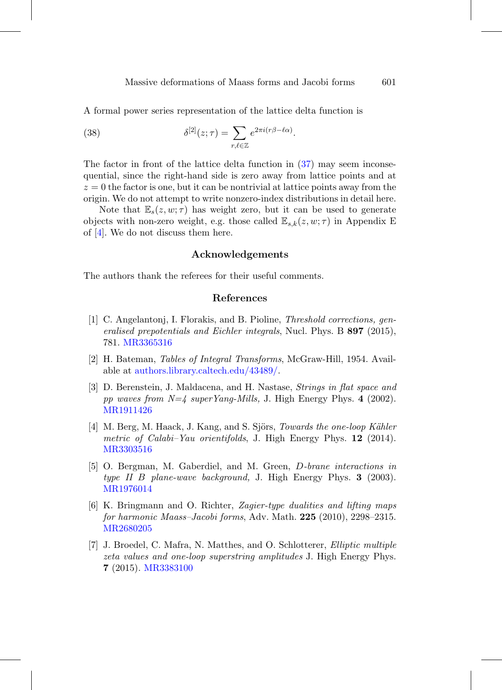A formal power series representation of the lattice delta function is

(38) 
$$
\delta^{[2]}(z;\tau) = \sum_{r,\ell \in \mathbb{Z}} e^{2\pi i (r\beta - \ell \alpha)}.
$$

The factor in front of the lattice delta function in [\(37\)](#page-25-3) may seem inconsequential, since the right-hand side is zero away from lattice points and at  $z = 0$  the factor is one, but it can be nontrivial at lattice points away from the origin. We do not attempt to write nonzero-index distributions in detail here.

Note that  $\mathbb{E}_{s}(z, w; \tau)$  has weight zero, but it can be used to generate objects with non-zero weight, e.g. those called  $\mathbb{E}_{s,k}(z, w; \tau)$  in Appendix E of [\[4\]](#page-26-6). We do not discuss them here.

#### **Acknowledgements**

The authors thank the referees for their useful comments.

#### **References**

- <span id="page-26-5"></span>[1] C. Angelantonj, I. Florakis, and B. Pioline, Threshold corrections, generalised prepotentials and Eichler integrals, Nucl. Phys. B **897** (2015), 781. [MR3365316](http://www.ams.org/mathscinet-getitem?mr=3365316)
- <span id="page-26-2"></span>[2] H. Bateman, Tables of Integral Transforms, McGraw-Hill, 1954. Available at [authors.library.caltech.edu/43489/.](https://authors.library.caltech.edu/43489/)
- <span id="page-26-4"></span>[3] D. Berenstein, J. Maldacena, and H. Nastase, Strings in flat space and pp waves from N=4 superYang-Mills, J. High Energy Phys. **4** (2002). [MR1911426](http://www.ams.org/mathscinet-getitem?mr=1911426)
- <span id="page-26-6"></span>[4] M. Berg, M. Haack, J. Kang, and S. Sjörs, *Towards the one-loop Kähler* metric of Calabi–Yau orientifolds, J. High Energy Phys. **12** (2014). [MR3303516](http://www.ams.org/mathscinet-getitem?mr=3303516)
- <span id="page-26-0"></span>[5] O. Bergman, M. Gaberdiel, and M. Green, D-brane interactions in type II B plane-wave background, J. High Energy Phys. **3** (2003). [MR1976014](http://www.ams.org/mathscinet-getitem?mr=1976014)
- <span id="page-26-1"></span>[6] K. Bringmann and O. Richter, Zagier-type dualities and lifting maps for harmonic Maass–Jacobi forms, Adv. Math. **225** (2010), 2298–2315. [MR2680205](http://www.ams.org/mathscinet-getitem?mr=2680205)
- <span id="page-26-3"></span>[7] J. Broedel, C. Mafra, N. Matthes, and O. Schlotterer, Elliptic multiple zeta values and one-loop superstring amplitudes J. High Energy Phys. **7** (2015). [MR3383100](http://www.ams.org/mathscinet-getitem?mr=3383100)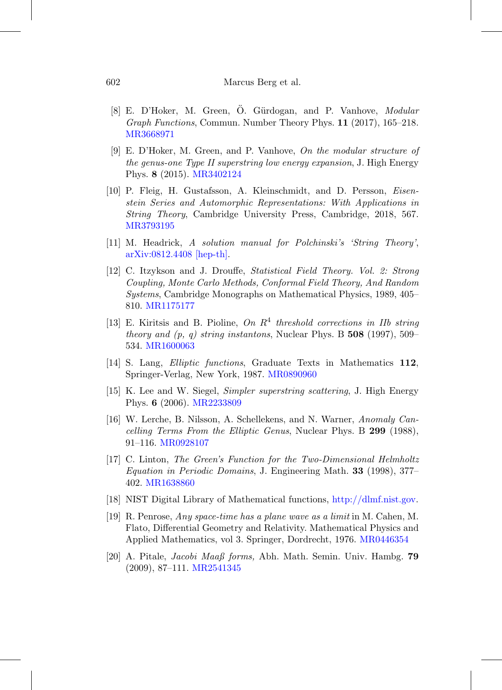- <span id="page-27-8"></span>[8] E. D'Hoker, M. Green, O. Gürdogan, and P. Vanhove, Modular Graph Functions, Commun. Number Theory Phys. **11** (2017), 165–218. [MR3668971](http://www.ams.org/mathscinet-getitem?mr=3668971)
- <span id="page-27-3"></span>[9] E. D'Hoker, M. Green, and P. Vanhove, On the modular structure of the genus-one Type II superstring low energy expansion, J. High Energy Phys. **8** (2015). [MR3402124](http://www.ams.org/mathscinet-getitem?mr=3402124)
- <span id="page-27-1"></span>[10] P. Fleig, H. Gustafsson, A. Kleinschmidt, and D. Persson, Eisenstein Series and Automorphic Representations: With Applications in String Theory, Cambridge University Press, Cambridge, 2018, 567. [MR3793195](http://www.ams.org/mathscinet-getitem?mr=3793195)
- <span id="page-27-4"></span>[11] M. Headrick, A solution manual for Polchinski's 'String Theory', [arXiv:0812.4408 \[hep-th\].](https://arxiv.org/abs/0812.4408)
- <span id="page-27-10"></span>[12] C. Itzykson and J. Drouffe, Statistical Field Theory. Vol. 2: Strong Coupling, Monte Carlo Methods, Conformal Field Theory, And Random Systems, Cambridge Monographs on Mathematical Physics, 1989, 405– 810. [MR1175177](http://www.ams.org/mathscinet-getitem?mr=1175177)
- <span id="page-27-6"></span>[13] E. Kiritsis and B. Pioline, On  $R^4$  threshold corrections in IIb string theory and (p, q) string instantons, Nuclear Phys. B **508** (1997), 509– 534. [MR1600063](http://www.ams.org/mathscinet-getitem?mr=1600063)
- <span id="page-27-12"></span>[14] S. Lang, Elliptic functions, Graduate Texts in Mathematics **112**, Springer-Verlag, New York, 1987. [MR0890960](http://www.ams.org/mathscinet-getitem?mr=0890960)
- <span id="page-27-9"></span>[15] K. Lee and W. Siegel, Simpler superstring scattering, J. High Energy Phys. **6** (2006). [MR2233809](http://www.ams.org/mathscinet-getitem?mr=2233809)
- <span id="page-27-7"></span>[16] W. Lerche, B. Nilsson, A. Schellekens, and N. Warner, Anomaly Cancelling Terms From the Elliptic Genus, Nuclear Phys. B **299** (1988), 91–116. [MR0928107](http://www.ams.org/mathscinet-getitem?mr=0928107)
- <span id="page-27-11"></span>[17] C. Linton, The Green's Function for the Two-Dimensional Helmholtz Equation in Periodic Domains, J. Engineering Math. **33** (1998), 377– 402. [MR1638860](http://www.ams.org/mathscinet-getitem?mr=1638860)
- <span id="page-27-2"></span>[18] NIST Digital Library of Mathematical functions, [http://dlmf.nist.gov.](http://dlmf.nist.gov)
- <span id="page-27-0"></span>[19] R. Penrose, Any space-time has a plane wave as a limit in M. Cahen, M. Flato, Differential Geometry and Relativity. Mathematical Physics and Applied Mathematics, vol 3. Springer, Dordrecht, 1976. [MR0446354](http://www.ams.org/mathscinet-getitem?mr=0446354)
- <span id="page-27-5"></span>[20] A. Pitale, Jacobi Maaß forms, Abh. Math. Semin. Univ. Hambg. **79** (2009), 87–111. [MR2541345](http://www.ams.org/mathscinet-getitem?mr=2541345)